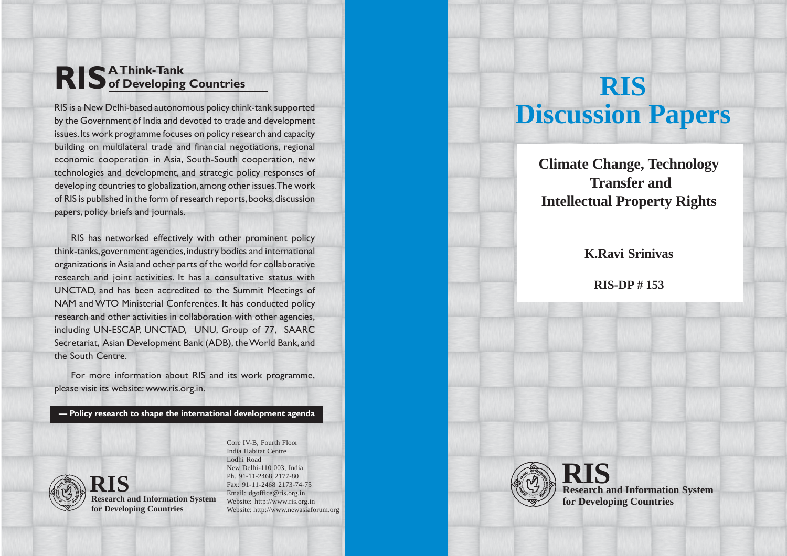# **RIS A Think-Tank of Developing Countries**

RIS is a New Delhi-based autonomous policy think-tank supported by the Government of India and devoted to trade and development issues. Its work programme focuses on policy research and capacity building on multilateral trade and financial negotiations, regional economic cooperation in Asia, South-South cooperation, new technologies and development, and strategic policy responses of developing countries to globalization, among other issues. The work of RIS is published in the form of research reports, books, discussion papers, policy briefs and journals.

RIS has networked effectively with other prominent policy think-tanks, government agencies, industry bodies and international organizations in Asia and other parts of the world for collaborative research and joint activities. It has a consultative status with UNCTAD, and has been accredited to the Summit Meetings of NAM and WTO Ministerial Conferences. It has conducted policy research and other activities in collaboration with other agencies, including UN-ESCAP, UNCTAD, UNU, Group of 77, SAARC Secretariat, Asian Development Bank (ADB), the World Bank, and the South Centre.

For more information about RIS and its work programme, please visit its website: www.ris.org.in.

**— Policy research to shape the international development agenda**



**Research and Information System RIS for Developing Countries**

Core IV-B, Fourth Floor India Habitat Centre Lodhi Road New Delhi-110 003, India. Ph. 91-11-2468 2177-80 Fax: 91-11-2468 2173-74-75 Email: dgoffice@ris.org.in Website: http://www.ris.org.in Website: http://www.newasiaforum.org

# **RIS Discussion Papers**

**Climate Change, Technology Transfer and Intellectual Property Rights**

# **K.Ravi Srinivas**

**RIS-DP # 153**



**Research and Information System RIS for Developing Countries**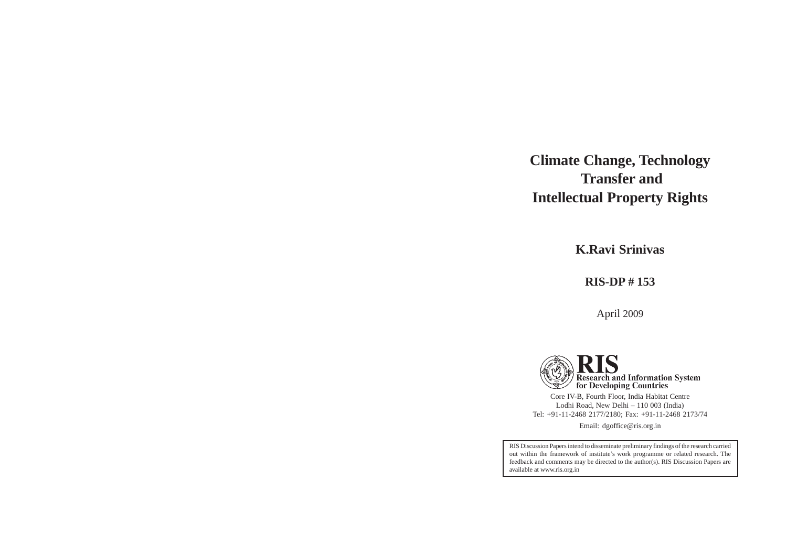# **Climate Change, Technology Transfer and Intellectual Property Rights**

**K.Ravi Srinivas**

## **RIS-DP # 153**

April 2009



Core IV-B, Fourth Floor, India Habitat Centre Lodhi Road, New Delhi – 110 003 (India) Tel: +91-11-2468 2177/2180; Fax: +91-11-2468 2173/74

Email: dgoffice@ris.org.in

RIS Discussion Papers intend to disseminate preliminary findings of the research carried out within the framework of institute's work programme or related research. The feedback and comments may be directed to the author(s). RIS Discussion Papers are available at www.ris.org.in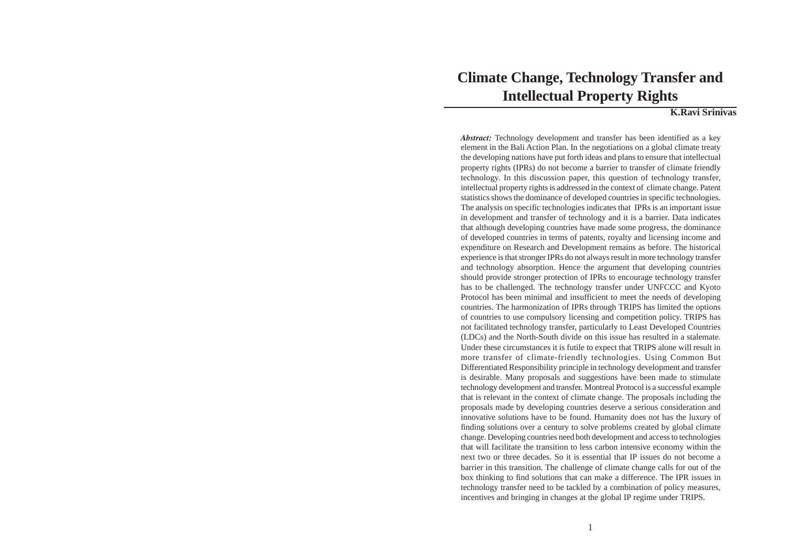# **Climate Change, Technology Transfer and Intellectual Property Rights**

#### **K.Ravi Srinivas**

*Abstract:* Technology development and transfer has been identified as a key element in the Bali Action Plan. In the negotiations on a global climate treaty the developing nations have put forth ideas and plans to ensure that intellectual property rights (IPRs) do not become a barrier to transfer of climate friendly technology. In this discussion paper, this question of technology transfer, intellectual property rights is addressed in the context of climate change. Patent statistics shows the dominance of developed countries in specific technologies. The analysis on specific technologies indicates that IPRs is an important issue in development and transfer of technology and it is a barrier. Data indicates that although developing countries have made some progress, the dominance of developed countries in terms of patents, royalty and licensing income and expenditure on Research and Development remains as before. The historical experience is that stronger IPRs do not always result in more technology transfer and technology absorption. Hence the argument that developing countries should provide stronger protection of IPRs to encourage technology transfer has to be challenged. The technology transfer under UNFCCC and Kyoto Protocol has been minimal and insufficient to meet the needs of developing countries. The harmonization of IPRs through TRIPS has limited the options of countries to use compulsory licensing and competition policy. TRIPS has not facilitated technology transfer, particularly to Least Developed Countries (LDCs) and the North-South divide on this issue has resulted in a stalemate. Under these circumstances it is futile to expect that TRIPS alone will result in more transfer of climate-friendly technologies. Using Common But Differentiated Responsibility principle in technology development and transfer is desirable. Many proposals and suggestions have been made to stimulate technology development and transfer. Montreal Protocol is a successful example that is relevant in the context of climate change. The proposals including the proposals made by developing countries deserve a serious consideration and innovative solutions have to be found. Humanity does not has the luxury of finding solutions over a century to solve problems created by global climate change. Developing countries need both development and access to technologies that will facilitate the transition to less carbon intensive economy within the next two or three decades. So it is essential that IP issues do not become a barrier in this transition. The challenge of climate change calls for out of the box thinking to find solutions that can make a difference. The IPR issues in technology transfer need to be tackled by a combination of policy measures, incentives and bringing in changes at the global IP regime under TRIPS.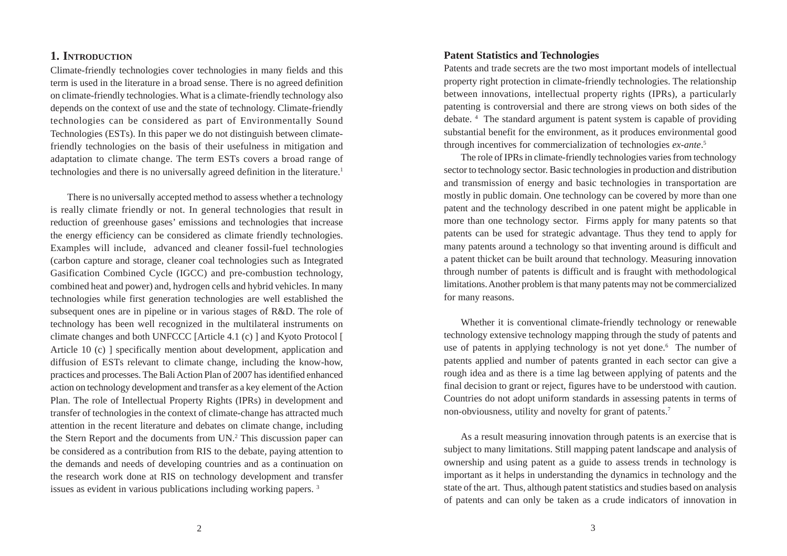### **1. INTRODUCTION**

Climate-friendly technologies cover technologies in many fields and this term is used in the literature in a broad sense. There is no agreed definition on climate-friendly technologies. What is a climate-friendly technology also depends on the context of use and the state of technology. Climate-friendly technologies can be considered as part of Environmentally Sound Technologies (ESTs). In this paper we do not distinguish between climatefriendly technologies on the basis of their usefulness in mitigation and adaptation to climate change. The term ESTs covers a broad range of technologies and there is no universally agreed definition in the literature.<sup>1</sup>

There is no universally accepted method to assess whether a technology is really climate friendly or not. In general technologies that result in reduction of greenhouse gases' emissions and technologies that increase the energy efficiency can be considered as climate friendly technologies. Examples will include, advanced and cleaner fossil-fuel technologies (carbon capture and storage, cleaner coal technologies such as Integrated Gasification Combined Cycle (IGCC) and pre-combustion technology, combined heat and power) and, hydrogen cells and hybrid vehicles. In many technologies while first generation technologies are well established the subsequent ones are in pipeline or in various stages of R&D. The role of technology has been well recognized in the multilateral instruments on climate changes and both UNFCCC [Article 4.1 (c) ] and Kyoto Protocol [ Article 10 (c) ] specifically mention about development, application and diffusion of ESTs relevant to climate change, including the know-how, practices and processes. The Bali Action Plan of 2007 has identified enhanced action on technology development and transfer as a key element of the Action Plan. The role of Intellectual Property Rights (IPRs) in development and transfer of technologies in the context of climate-change has attracted much attention in the recent literature and debates on climate change, including the Stern Report and the documents from UN.<sup>2</sup> This discussion paper can be considered as a contribution from RIS to the debate, paying attention to the demands and needs of developing countries and as a continuation on the research work done at RIS on technology development and transfer issues as evident in various publications including working papers. 3

#### **Patent Statistics and Technologies**

Patents and trade secrets are the two most important models of intellectual property right protection in climate-friendly technologies. The relationship between innovations, intellectual property rights (IPRs), a particularly patenting is controversial and there are strong views on both sides of the debate. 4 The standard argument is patent system is capable of providing substantial benefit for the environment, as it produces environmental good through incentives for commercialization of technologies *ex-ante*. 5

The role of IPRs in climate-friendly technologies varies from technology sector to technology sector. Basic technologies in production and distribution and transmission of energy and basic technologies in transportation are mostly in public domain. One technology can be covered by more than one patent and the technology described in one patent might be applicable in more than one technology sector. Firms apply for many patents so that patents can be used for strategic advantage. Thus they tend to apply for many patents around a technology so that inventing around is difficult and a patent thicket can be built around that technology. Measuring innovation through number of patents is difficult and is fraught with methodological limitations. Another problem is that many patents may not be commercialized for many reasons.

Whether it is conventional climate-friendly technology or renewable technology extensive technology mapping through the study of patents and use of patents in applying technology is not yet done.<sup>6</sup> The number of patents applied and number of patents granted in each sector can give a rough idea and as there is a time lag between applying of patents and the final decision to grant or reject, figures have to be understood with caution. Countries do not adopt uniform standards in assessing patents in terms of non-obviousness, utility and novelty for grant of patents.7

As a result measuring innovation through patents is an exercise that is subject to many limitations. Still mapping patent landscape and analysis of ownership and using patent as a guide to assess trends in technology is important as it helps in understanding the dynamics in technology and the state of the art. Thus, although patent statistics and studies based on analysis of patents and can only be taken as a crude indicators of innovation in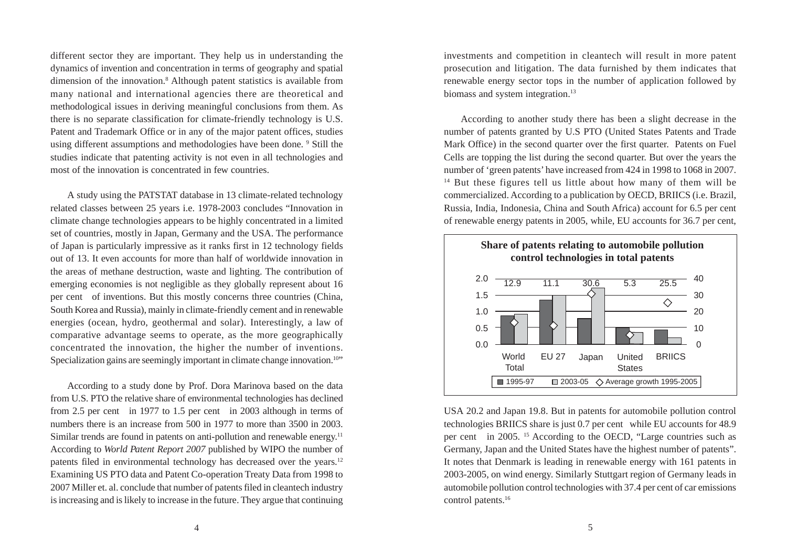different sector they are important. They help us in understanding the dynamics of invention and concentration in terms of geography and spatial dimension of the innovation.<sup>8</sup> Although patent statistics is available from many national and international agencies there are theoretical and methodological issues in deriving meaningful conclusions from them. As there is no separate classification for climate-friendly technology is U.S. Patent and Trademark Office or in any of the major patent offices, studies using different assumptions and methodologies have been done. <sup>9</sup> Still the studies indicate that patenting activity is not even in all technologies and most of the innovation is concentrated in few countries.

A study using the PATSTAT database in 13 climate-related technology related classes between 25 years i.e. 1978-2003 concludes "Innovation in climate change technologies appears to be highly concentrated in a limited set of countries, mostly in Japan, Germany and the USA. The performance of Japan is particularly impressive as it ranks first in 12 technology fields out of 13. It even accounts for more than half of worldwide innovation in the areas of methane destruction, waste and lighting. The contribution of emerging economies is not negligible as they globally represent about 16 per cent of inventions. But this mostly concerns three countries (China, South Korea and Russia), mainly in climate-friendly cement and in renewable energies (ocean, hydro, geothermal and solar). Interestingly, a law of comparative advantage seems to operate, as the more geographically concentrated the innovation, the higher the number of inventions. Specialization gains are seemingly important in climate change innovation.<sup>10"</sup>

According to a study done by Prof. Dora Marinova based on the data from U.S. PTO the relative share of environmental technologies has declined from 2.5 per cent in 1977 to 1.5 per cent in 2003 although in terms of numbers there is an increase from 500 in 1977 to more than 3500 in 2003. Similar trends are found in patents on anti-pollution and renewable energy.<sup>11</sup> According to *World Patent Report 2007* published by WIPO the number of patents filed in environmental technology has decreased over the years.<sup>12</sup> Examining US PTO data and Patent Co-operation Treaty Data from 1998 to 2007 Miller et. al. conclude that number of patents filed in cleantech industry is increasing and is likely to increase in the future. They argue that continuing

investments and competition in cleantech will result in more patent prosecution and litigation. The data furnished by them indicates that renewable energy sector tops in the number of application followed by biomass and system integration.<sup>13</sup>

According to another study there has been a slight decrease in the number of patents granted by U.S PTO (United States Patents and Trade Mark Office) in the second quarter over the first quarter. Patents on Fuel Cells are topping the list during the second quarter. But over the years the number of 'green patents' have increased from 424 in 1998 to 1068 in 2007. <sup>14</sup> But these figures tell us little about how many of them will be commercialized. According to a publication by OECD, BRIICS (i.e. Brazil, Russia, India, Indonesia, China and South Africa) account for 6.5 per cent of renewable energy patents in 2005, while, EU accounts for 36.7 per cent,



USA 20.2 and Japan 19.8. But in patents for automobile pollution control technologies BRIICS share is just 0.7 per cent while EU accounts for 48.9 per cent in 2005. 15 According to the OECD, "Large countries such as Germany, Japan and the United States have the highest number of patents". It notes that Denmark is leading in renewable energy with 161 patents in 2003-2005, on wind energy. Similarly Stuttgart region of Germany leads in automobile pollution control technologies with 37.4 per cent of car emissions control patents.<sup>16</sup>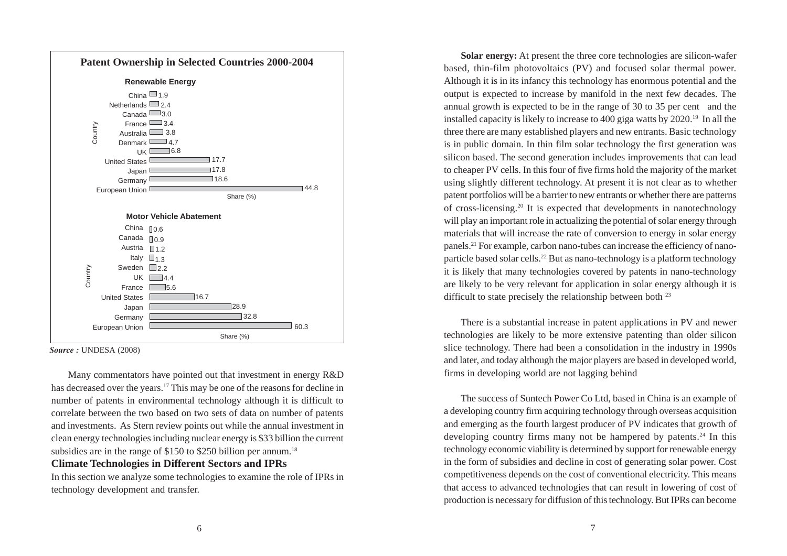

*Source :* UNDESA (2008)

Many commentators have pointed out that investment in energy R&D has decreased over the years.17 This may be one of the reasons for decline in number of patents in environmental technology although it is difficult to correlate between the two based on two sets of data on number of patents and investments. As Stern review points out while the annual investment in clean energy technologies including nuclear energy is \$33 billion the current subsidies are in the range of \$150 to \$250 billion per annum.<sup>18</sup>

#### **Climate Technologies in Different Sectors and IPRs**

In this section we analyze some technologies to examine the role of IPRs in technology development and transfer.

**Solar energy:** At present the three core technologies are silicon-wafer based, thin-film photovoltaics (PV) and focused solar thermal power. Although it is in its infancy this technology has enormous potential and the output is expected to increase by manifold in the next few decades. The annual growth is expected to be in the range of 30 to 35 per cent and the installed capacity is likely to increase to 400 giga watts by 2020.19 In all the three there are many established players and new entrants. Basic technology is in public domain. In thin film solar technology the first generation was silicon based. The second generation includes improvements that can lead to cheaper PV cells. In this four of five firms hold the majority of the market using slightly different technology. At present it is not clear as to whether patent portfolios will be a barrier to new entrants or whether there are patterns of cross-licensing.20 It is expected that developments in nanotechnology will play an important role in actualizing the potential of solar energy through materials that will increase the rate of conversion to energy in solar energy panels.21 For example, carbon nano-tubes can increase the efficiency of nanoparticle based solar cells.22 But as nano-technology is a platform technology it is likely that many technologies covered by patents in nano-technology are likely to be very relevant for application in solar energy although it is difficult to state precisely the relationship between both <sup>23</sup>

There is a substantial increase in patent applications in PV and newer technologies are likely to be more extensive patenting than older silicon slice technology. There had been a consolidation in the industry in 1990s and later, and today although the major players are based in developed world, firms in developing world are not lagging behind

The success of Suntech Power Co Ltd, based in China is an example of a developing country firm acquiring technology through overseas acquisition and emerging as the fourth largest producer of PV indicates that growth of developing country firms many not be hampered by patents.<sup>24</sup> In this technology economic viability is determined by support for renewable energy in the form of subsidies and decline in cost of generating solar power. Cost competitiveness depends on the cost of conventional electricity. This means that access to advanced technologies that can result in lowering of cost of production is necessary for diffusion of this technology. But IPRs can become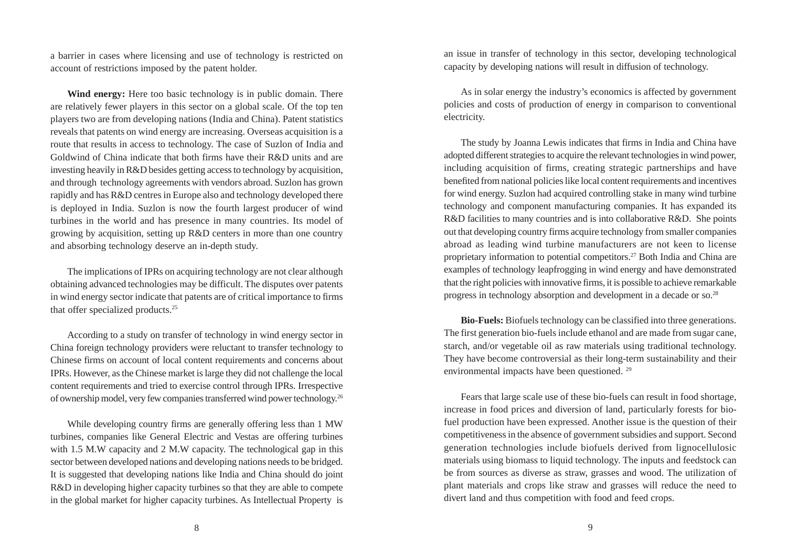a barrier in cases where licensing and use of technology is restricted on account of restrictions imposed by the patent holder.

**Wind energy:** Here too basic technology is in public domain. There are relatively fewer players in this sector on a global scale. Of the top ten players two are from developing nations (India and China). Patent statistics reveals that patents on wind energy are increasing. Overseas acquisition is a route that results in access to technology. The case of Suzlon of India and Goldwind of China indicate that both firms have their R&D units and are investing heavily in R&D besides getting access to technology by acquisition, and through technology agreements with vendors abroad. Suzlon has grown rapidly and has R&D centres in Europe also and technology developed there is deployed in India. Suzlon is now the fourth largest producer of wind turbines in the world and has presence in many countries. Its model of growing by acquisition, setting up R&D centers in more than one country and absorbing technology deserve an in-depth study.

The implications of IPRs on acquiring technology are not clear although obtaining advanced technologies may be difficult. The disputes over patents in wind energy sector indicate that patents are of critical importance to firms that offer specialized products.25

According to a study on transfer of technology in wind energy sector in China foreign technology providers were reluctant to transfer technology to Chinese firms on account of local content requirements and concerns about IPRs. However, as the Chinese market is large they did not challenge the local content requirements and tried to exercise control through IPRs. Irrespective of ownership model, very few companies transferred wind power technology.26

While developing country firms are generally offering less than 1 MW turbines, companies like General Electric and Vestas are offering turbines with 1.5 M.W capacity and 2 M.W capacity. The technological gap in this sector between developed nations and developing nations needs to be bridged. It is suggested that developing nations like India and China should do joint R&D in developing higher capacity turbines so that they are able to compete in the global market for higher capacity turbines. As Intellectual Property is an issue in transfer of technology in this sector, developing technological capacity by developing nations will result in diffusion of technology.

As in solar energy the industry's economics is affected by government policies and costs of production of energy in comparison to conventional electricity.

The study by Joanna Lewis indicates that firms in India and China have adopted different strategies to acquire the relevant technologies in wind power, including acquisition of firms, creating strategic partnerships and have benefited from national policies like local content requirements and incentives for wind energy. Suzlon had acquired controlling stake in many wind turbine technology and component manufacturing companies. It has expanded its R&D facilities to many countries and is into collaborative R&D. She points out that developing country firms acquire technology from smaller companies abroad as leading wind turbine manufacturers are not keen to license proprietary information to potential competitors.27 Both India and China are examples of technology leapfrogging in wind energy and have demonstrated that the right policies with innovative firms, it is possible to achieve remarkable progress in technology absorption and development in a decade or so.28

**Bio-Fuels:** Biofuels technology can be classified into three generations. The first generation bio-fuels include ethanol and are made from sugar cane, starch, and/or vegetable oil as raw materials using traditional technology. They have become controversial as their long-term sustainability and their environmental impacts have been questioned. 29

Fears that large scale use of these bio-fuels can result in food shortage, increase in food prices and diversion of land, particularly forests for biofuel production have been expressed. Another issue is the question of their competitiveness in the absence of government subsidies and support. Second generation technologies include biofuels derived from lignocellulosic materials using biomass to liquid technology. The inputs and feedstock can be from sources as diverse as straw, grasses and wood. The utilization of plant materials and crops like straw and grasses will reduce the need to divert land and thus competition with food and feed crops.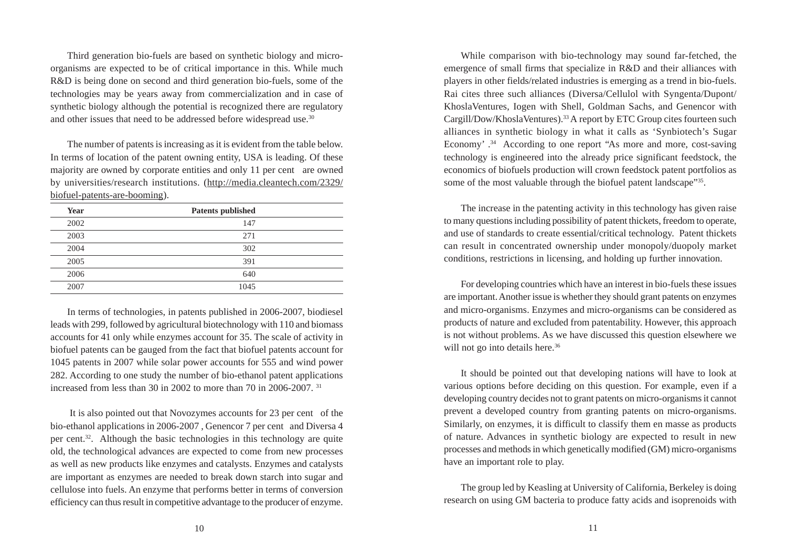Third generation bio-fuels are based on synthetic biology and microorganisms are expected to be of critical importance in this. While much R&D is being done on second and third generation bio-fuels, some of the technologies may be years away from commercialization and in case of synthetic biology although the potential is recognized there are regulatory and other issues that need to be addressed before widespread use.<sup>30</sup>

The number of patents is increasing as it is evident from the table below. In terms of location of the patent owning entity, USA is leading. Of these majority are owned by corporate entities and only 11 per cent are owned by universities/research institutions. (http://media.cleantech.com/2329/ biofuel-patents-are-booming).

| Year | <b>Patents published</b> |  |
|------|--------------------------|--|
| 2002 | 147                      |  |
| 2003 | 271                      |  |
| 2004 | 302                      |  |
| 2005 | 391                      |  |
| 2006 | 640                      |  |
| 2007 | 1045                     |  |

In terms of technologies, in patents published in 2006-2007, biodiesel leads with 299, followed by agricultural biotechnology with 110 and biomass accounts for 41 only while enzymes account for 35. The scale of activity in biofuel patents can be gauged from the fact that biofuel patents account for 1045 patents in 2007 while solar power accounts for 555 and wind power 282. According to one study the number of bio-ethanol patent applications increased from less than 30 in 2002 to more than 70 in 2006-2007. 31

 It is also pointed out that Novozymes accounts for 23 per cent of the bio-ethanol applications in 2006-2007 , Genencor 7 per cent and Diversa 4 per cent.32. Although the basic technologies in this technology are quite old, the technological advances are expected to come from new processes as well as new products like enzymes and catalysts. Enzymes and catalysts are important as enzymes are needed to break down starch into sugar and cellulose into fuels. An enzyme that performs better in terms of conversion efficiency can thus result in competitive advantage to the producer of enzyme.

While comparison with bio-technology may sound far-fetched, the emergence of small firms that specialize in R&D and their alliances with players in other fields/related industries is emerging as a trend in bio-fuels. Rai cites three such alliances (Diversa/Cellulol with Syngenta/Dupont/ KhoslaVentures, Iogen with Shell, Goldman Sachs, and Genencor with Cargill/Dow/KhoslaVentures).33 A report by ETC Group cites fourteen such alliances in synthetic biology in what it calls as 'Synbiotech's Sugar Economy' .<sup>34</sup> According to one report "As more and more, cost-saving technology is engineered into the already price significant feedstock, the economics of biofuels production will crown feedstock patent portfolios as some of the most valuable through the biofuel patent landscape"<sup>35</sup>.

The increase in the patenting activity in this technology has given raise to many questions including possibility of patent thickets, freedom to operate, and use of standards to create essential/critical technology. Patent thickets can result in concentrated ownership under monopoly/duopoly market conditions, restrictions in licensing, and holding up further innovation.

For developing countries which have an interest in bio-fuels these issues are important. Another issue is whether they should grant patents on enzymes and micro-organisms. Enzymes and micro-organisms can be considered as products of nature and excluded from patentability. However, this approach is not without problems. As we have discussed this question elsewhere we will not go into details here.<sup>36</sup>

It should be pointed out that developing nations will have to look at various options before deciding on this question. For example, even if a developing country decides not to grant patents on micro-organisms it cannot prevent a developed country from granting patents on micro-organisms. Similarly, on enzymes, it is difficult to classify them en masse as products of nature. Advances in synthetic biology are expected to result in new processes and methods in which genetically modified (GM) micro-organisms have an important role to play.

The group led by Keasling at University of California, Berkeley is doing research on using GM bacteria to produce fatty acids and isoprenoids with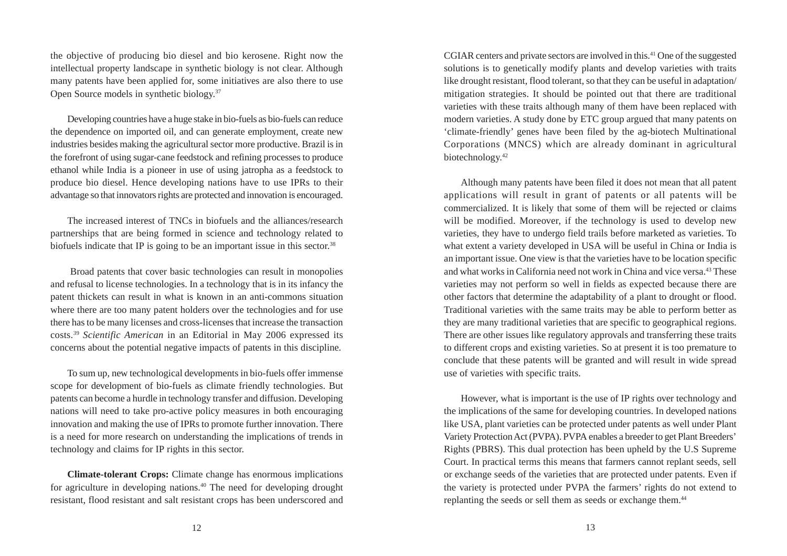the objective of producing bio diesel and bio kerosene. Right now the intellectual property landscape in synthetic biology is not clear. Although many patents have been applied for, some initiatives are also there to use Open Source models in synthetic biology.37

Developing countries have a huge stake in bio-fuels as bio-fuels can reduce the dependence on imported oil, and can generate employment, create new industries besides making the agricultural sector more productive. Brazil is in the forefront of using sugar-cane feedstock and refining processes to produce ethanol while India is a pioneer in use of using jatropha as a feedstock to produce bio diesel. Hence developing nations have to use IPRs to their advantage so that innovators rights are protected and innovation is encouraged.

The increased interest of TNCs in biofuels and the alliances/research partnerships that are being formed in science and technology related to biofuels indicate that IP is going to be an important issue in this sector.<sup>38</sup>

 Broad patents that cover basic technologies can result in monopolies and refusal to license technologies. In a technology that is in its infancy the patent thickets can result in what is known in an anti-commons situation where there are too many patent holders over the technologies and for use there has to be many licenses and cross-licenses that increase the transaction costs.39 *Scientific American* in an Editorial in May 2006 expressed its concerns about the potential negative impacts of patents in this discipline.

To sum up, new technological developments in bio-fuels offer immense scope for development of bio-fuels as climate friendly technologies. But patents can become a hurdle in technology transfer and diffusion. Developing nations will need to take pro-active policy measures in both encouraging innovation and making the use of IPRs to promote further innovation. There is a need for more research on understanding the implications of trends in technology and claims for IP rights in this sector.

**Climate-tolerant Crops:** Climate change has enormous implications for agriculture in developing nations.40 The need for developing drought resistant, flood resistant and salt resistant crops has been underscored and CGIAR centers and private sectors are involved in this.41 One of the suggested solutions is to genetically modify plants and develop varieties with traits like drought resistant, flood tolerant, so that they can be useful in adaptation/ mitigation strategies. It should be pointed out that there are traditional varieties with these traits although many of them have been replaced with modern varieties. A study done by ETC group argued that many patents on 'climate-friendly' genes have been filed by the ag-biotech Multinational Corporations (MNCS) which are already dominant in agricultural biotechnology.42

Although many patents have been filed it does not mean that all patent applications will result in grant of patents or all patents will be commercialized. It is likely that some of them will be rejected or claims will be modified. Moreover, if the technology is used to develop new varieties, they have to undergo field trails before marketed as varieties. To what extent a variety developed in USA will be useful in China or India is an important issue. One view is that the varieties have to be location specific and what works in California need not work in China and vice versa.43 These varieties may not perform so well in fields as expected because there are other factors that determine the adaptability of a plant to drought or flood. Traditional varieties with the same traits may be able to perform better as they are many traditional varieties that are specific to geographical regions. There are other issues like regulatory approvals and transferring these traits to different crops and existing varieties. So at present it is too premature to conclude that these patents will be granted and will result in wide spread use of varieties with specific traits.

However, what is important is the use of IP rights over technology and the implications of the same for developing countries. In developed nations like USA, plant varieties can be protected under patents as well under Plant Variety Protection Act (PVPA). PVPA enables a breeder to get Plant Breeders' Rights (PBRS). This dual protection has been upheld by the U.S Supreme Court. In practical terms this means that farmers cannot replant seeds, sell or exchange seeds of the varieties that are protected under patents. Even if the variety is protected under PVPA the farmers' rights do not extend to replanting the seeds or sell them as seeds or exchange them.<sup>44</sup>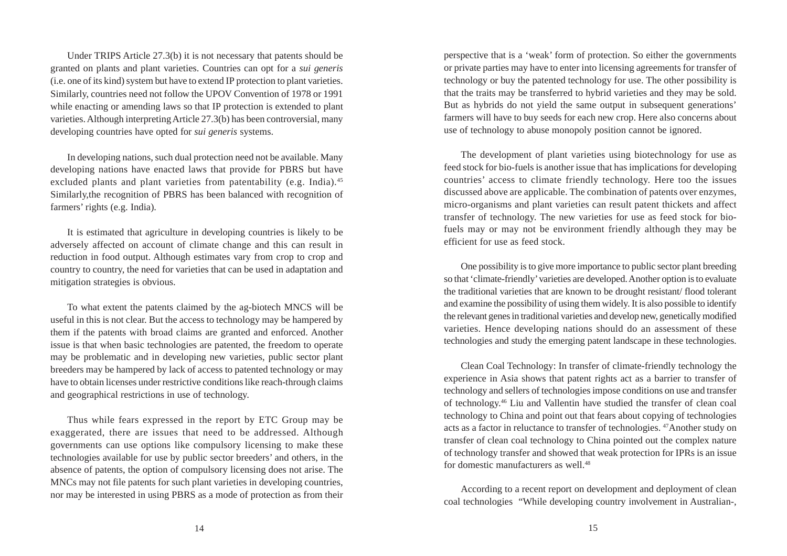Under TRIPS Article 27.3(b) it is not necessary that patents should be granted on plants and plant varieties. Countries can opt for a *sui generis* (i.e. one of its kind) system but have to extend IP protection to plant varieties. Similarly, countries need not follow the UPOV Convention of 1978 or 1991 while enacting or amending laws so that IP protection is extended to plant varieties. Although interpreting Article 27.3(b) has been controversial, many developing countries have opted for *sui generis* systems.

In developing nations, such dual protection need not be available. Many developing nations have enacted laws that provide for PBRS but have excluded plants and plant varieties from patentability (e.g. India).<sup>45</sup> Similarly,the recognition of PBRS has been balanced with recognition of farmers' rights (e.g. India).

It is estimated that agriculture in developing countries is likely to be adversely affected on account of climate change and this can result in reduction in food output. Although estimates vary from crop to crop and country to country, the need for varieties that can be used in adaptation and mitigation strategies is obvious.

To what extent the patents claimed by the ag-biotech MNCS will be useful in this is not clear. But the access to technology may be hampered by them if the patents with broad claims are granted and enforced. Another issue is that when basic technologies are patented, the freedom to operate may be problematic and in developing new varieties, public sector plant breeders may be hampered by lack of access to patented technology or may have to obtain licenses under restrictive conditions like reach-through claims and geographical restrictions in use of technology.

Thus while fears expressed in the report by ETC Group may be exaggerated, there are issues that need to be addressed. Although governments can use options like compulsory licensing to make these technologies available for use by public sector breeders' and others, in the absence of patents, the option of compulsory licensing does not arise. The MNCs may not file patents for such plant varieties in developing countries, nor may be interested in using PBRS as a mode of protection as from their perspective that is a 'weak' form of protection. So either the governments or private parties may have to enter into licensing agreements for transfer of technology or buy the patented technology for use. The other possibility is that the traits may be transferred to hybrid varieties and they may be sold. But as hybrids do not yield the same output in subsequent generations' farmers will have to buy seeds for each new crop. Here also concerns about use of technology to abuse monopoly position cannot be ignored.

The development of plant varieties using biotechnology for use as feed stock for bio-fuels is another issue that has implications for developing countries' access to climate friendly technology. Here too the issues discussed above are applicable. The combination of patents over enzymes, micro-organisms and plant varieties can result patent thickets and affect transfer of technology. The new varieties for use as feed stock for biofuels may or may not be environment friendly although they may be efficient for use as feed stock.

One possibility is to give more importance to public sector plant breeding so that 'climate-friendly' varieties are developed. Another option is to evaluate the traditional varieties that are known to be drought resistant/ flood tolerant and examine the possibility of using them widely. It is also possible to identify the relevant genes in traditional varieties and develop new, genetically modified varieties. Hence developing nations should do an assessment of these technologies and study the emerging patent landscape in these technologies.

Clean Coal Technology: In transfer of climate-friendly technology the experience in Asia shows that patent rights act as a barrier to transfer of technology and sellers of technologies impose conditions on use and transfer of technology.46 Liu and Vallentin have studied the transfer of clean coal technology to China and point out that fears about copying of technologies acts as a factor in reluctance to transfer of technologies. 47Another study on transfer of clean coal technology to China pointed out the complex nature of technology transfer and showed that weak protection for IPRs is an issue for domestic manufacturers as well  $48$ 

According to a recent report on development and deployment of clean coal technologies "While developing country involvement in Australian-,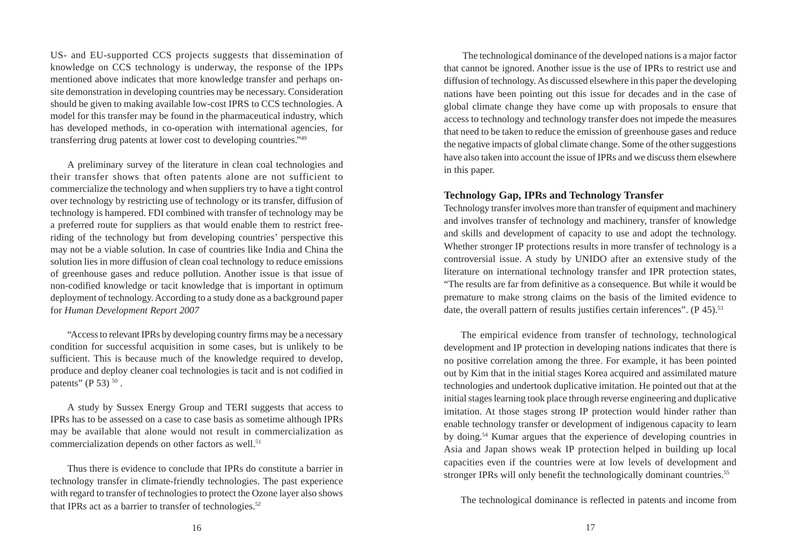US- and EU-supported CCS projects suggests that dissemination of knowledge on CCS technology is underway, the response of the IPPs mentioned above indicates that more knowledge transfer and perhaps onsite demonstration in developing countries may be necessary. Consideration should be given to making available low-cost IPRS to CCS technologies. A model for this transfer may be found in the pharmaceutical industry, which has developed methods, in co-operation with international agencies, for transferring drug patents at lower cost to developing countries."49

A preliminary survey of the literature in clean coal technologies and their transfer shows that often patents alone are not sufficient to commercialize the technology and when suppliers try to have a tight control over technology by restricting use of technology or its transfer, diffusion of technology is hampered. FDI combined with transfer of technology may be a preferred route for suppliers as that would enable them to restrict freeriding of the technology but from developing countries' perspective this may not be a viable solution. In case of countries like India and China the solution lies in more diffusion of clean coal technology to reduce emissions of greenhouse gases and reduce pollution. Another issue is that issue of non-codified knowledge or tacit knowledge that is important in optimum deployment of technology. According to a study done as a background paper for *Human Development Report 2007*

"Access to relevant IPRs by developing country firms may be a necessary condition for successful acquisition in some cases, but is unlikely to be sufficient. This is because much of the knowledge required to develop, produce and deploy cleaner coal technologies is tacit and is not codified in patents" (P 53)  $50$ .

A study by Sussex Energy Group and TERI suggests that access to IPRs has to be assessed on a case to case basis as sometime although IPRs may be available that alone would not result in commercialization as commercialization depends on other factors as well.<sup>51</sup>

Thus there is evidence to conclude that IPRs do constitute a barrier in technology transfer in climate-friendly technologies. The past experience with regard to transfer of technologies to protect the Ozone layer also shows that IPRs act as a barrier to transfer of technologies.<sup>52</sup>

 The technological dominance of the developed nations is a major factor that cannot be ignored. Another issue is the use of IPRs to restrict use and diffusion of technology. As discussed elsewhere in this paper the developing nations have been pointing out this issue for decades and in the case of global climate change they have come up with proposals to ensure that access to technology and technology transfer does not impede the measures that need to be taken to reduce the emission of greenhouse gases and reduce the negative impacts of global climate change. Some of the other suggestions have also taken into account the issue of IPRs and we discuss them elsewhere in this paper.

#### **Technology Gap, IPRs and Technology Transfer**

Technology transfer involves more than transfer of equipment and machinery and involves transfer of technology and machinery, transfer of knowledge and skills and development of capacity to use and adopt the technology. Whether stronger IP protections results in more transfer of technology is a controversial issue. A study by UNIDO after an extensive study of the literature on international technology transfer and IPR protection states, "The results are far from definitive as a consequence. But while it would be premature to make strong claims on the basis of the limited evidence to date, the overall pattern of results justifies certain inferences".  $(P 45)$ .<sup>53</sup>

The empirical evidence from transfer of technology, technological development and IP protection in developing nations indicates that there is no positive correlation among the three. For example, it has been pointed out by Kim that in the initial stages Korea acquired and assimilated mature technologies and undertook duplicative imitation. He pointed out that at the initial stages learning took place through reverse engineering and duplicative imitation. At those stages strong IP protection would hinder rather than enable technology transfer or development of indigenous capacity to learn by doing.54 Kumar argues that the experience of developing countries in Asia and Japan shows weak IP protection helped in building up local capacities even if the countries were at low levels of development and stronger IPRs will only benefit the technologically dominant countries.<sup>55</sup>

The technological dominance is reflected in patents and income from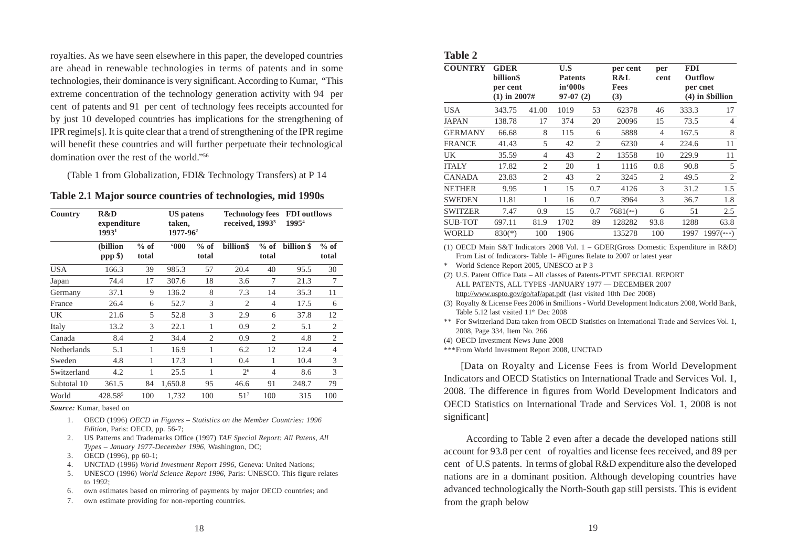royalties. As we have seen elsewhere in this paper, the developed countries are ahead in renewable technologies in terms of patents and in some technologies, their dominance is very significant. According to Kumar, "This extreme concentration of the technology generation activity with 94 per cent of patents and 91 per cent of technology fees receipts accounted for by just 10 developed countries has implications for the strengthening of IPR regime[s]. It is quite clear that a trend of strengthening of the IPR regime will benefit these countries and will further perpetuate their technological domination over the rest of the world."<sup>56</sup>

(Table 1 from Globalization, FDI& Technology Transfers) at P 14

**Table 2.1 Major source countries of technologies, mid 1990s**

| Country     | R&D<br>expenditure<br>19931 |                 | <b>US</b> patens<br>taken,<br>1977-96 <sup>2</sup> |                 | <b>Technology fees</b><br>received, 1993 <sup>3</sup> |                    | <b>FDI</b> outflows<br>1995 <sup>4</sup> |                 |
|-------------|-----------------------------|-----------------|----------------------------------------------------|-----------------|-------------------------------------------------------|--------------------|------------------------------------------|-----------------|
|             | (billion<br>ppp \$)         | $%$ of<br>total | $000*$                                             | $%$ of<br>total | billion\$                                             | $%$ of<br>total    | billion \$                               | $%$ of<br>total |
| <b>USA</b>  | 166.3                       | 39              | 985.3                                              | 57              | 20.4                                                  | 40                 | 95.5                                     | 30              |
| Japan       | 74.4                        | 17              | 307.6                                              | 18              | 3.6                                                   | 7                  | 21.3                                     | 7               |
| Germany     | 37.1                        | 9               | 136.2                                              | 8               | 7.3                                                   | 14                 | 35.3                                     | 11              |
| France      | 26.4                        | 6               | 52.7                                               | 3               | $\overline{2}$                                        | $\overline{4}$     | 17.5                                     | 6               |
| UK          | 21.6                        | 5               | 52.8                                               | 3               | 2.9                                                   | 6                  | 37.8                                     | 12              |
| Italy       | 13.2                        | 3               | 22.1                                               | 1               | 0.9                                                   | 2                  | 5.1                                      | $\overline{2}$  |
| Canada      | 8.4                         | $\overline{2}$  | 34.4                                               | $\mathfrak{D}$  | 0.9                                                   | $\mathfrak{D}_{1}$ | 4.8                                      | 2               |
| Netherlands | 5.1                         | 1               | 16.9                                               | 1               | 6.2                                                   | 12                 | 12.4                                     | $\overline{4}$  |
| Sweden      | 4.8                         | 1               | 17.3                                               | 1               | 0.4                                                   | 1                  | 10.4                                     | 3               |
| Switzerland | 4.2                         | 1               | 25.5                                               | 1               | 2 <sup>6</sup>                                        | $\overline{4}$     | 8.6                                      | 3               |
| Subtotal 10 | 361.5                       | 84              | 1,650.8                                            | 95              | 46.6                                                  | 91                 | 248.7                                    | 79              |
| World       | 428.585                     | 100             | 1.732                                              | 100             | 51 <sup>7</sup>                                       | 100                | 315                                      | 100             |

*Source:* Kumar, based on

- 1. OECD (1996) *OECD in Figures Statistics on the Member Countries: 1996 Edition,* Paris: OECD, pp. 56-7;
- 2. US Patterns and Trademarks Office (1997) *TAF Special Report: All Patens, All Types – January 1977-December 1996,* Washington, DC;
- 3. OECD (1996), pp 60-1;
- 4. UNCTAD (1996) *World Investment Report 1996*, Geneva: United Nations;
- 5. UNESCO (1996) *World Science Report 1996*, Paris: UNESCO. This figure relates to 1992;
- 6. own estimates based on mirroring of payments by major OECD countries; and
- 7. own estimate providing for non-reporting countries.

| ×<br>٠<br>٧<br>۰. |
|-------------------|
|-------------------|

| <b>COUNTRY</b> | <b>GDER</b><br>billion\$<br>per cent<br>$(1)$ in 2007# |                | U.S<br>Patents<br>in'000s<br>$97-07(2)$ |                | per cent<br>R&L<br>Fees<br>(3) | per<br>cent    | <b>FDI</b><br>Outflow<br>per cnet<br>$(4)$ in $\delta$ billion |                |
|----------------|--------------------------------------------------------|----------------|-----------------------------------------|----------------|--------------------------------|----------------|----------------------------------------------------------------|----------------|
| USA            | 343.75                                                 | 41.00          | 1019                                    | 53             | 62378                          | 46             | 333.3                                                          | 17             |
| JAPAN          | 138.78                                                 | 17             | 374                                     | 20             | 20096                          | 15             | 73.5                                                           | 4              |
| <b>GERMANY</b> | 66.68                                                  | 8              | 115                                     | 6              | 5888                           | $\overline{4}$ | 167.5                                                          | 8              |
| <b>FRANCE</b>  | 41.43                                                  | 5              | 42                                      | 2              | 6230                           | 4              | 224.6                                                          | 11             |
| UK             | 35.59                                                  | 4              | 43                                      | 2              | 13558                          | 10             | 229.9                                                          | 11             |
| <b>ITALY</b>   | 17.82                                                  | $\mathfrak{2}$ | 20                                      | 1              | 1116                           | 0.8            | 90.8                                                           | 5              |
| <b>CANADA</b>  | 23.83                                                  | $\overline{2}$ | 43                                      | $\overline{2}$ | 3245                           | $\overline{2}$ | 49.5                                                           | $\overline{2}$ |
| <b>NETHER</b>  | 9.95                                                   | 1              | 15                                      | 0.7            | 4126                           | 3              | 31.2                                                           | 1.5            |
| <b>SWEDEN</b>  | 11.81                                                  | 1              | 16                                      | 0.7            | 3964                           | 3              | 36.7                                                           | 1.8            |
| <b>SWITZER</b> | 7.47                                                   | 0.9            | 15                                      | 0.7            | $7681$ (**)                    | 6              | 51                                                             | 2.5            |
| <b>SUB-TOT</b> | 697.11                                                 | 81.9           | 1702                                    | 89             | 128282                         | 93.8           | 1288                                                           | 63.8           |
| WORLD          | $830(*)$                                               | 100            | 1906                                    |                | 135278                         | 100            | 1997                                                           | $1997$ (***)   |

(1) OECD Main S&T Indicators 2008 Vol. 1 – GDER(Gross Domestic Expenditure in R&D) From List of Indicators- Table 1- #Figures Relate to 2007 or latest year

- \* World Science Report 2005, UNESCO at P 3
- (2) U.S. Patent Office Data All classes of Patents-PTMT SPECIAL REPORT ALL PATENTS, ALL TYPES -JANUARY 1977 — DECEMBER 2007 http://www.uspto.gov/go/taf/apat.pdf (last visited 10th Dec 2008)
- (3) Royalty & License Fees 2006 in \$millions World Development Indicators 2008, World Bank, Table 5.12 last visited 11<sup>th</sup> Dec 2008
- \*\* For Switzerland Data taken from OECD Statistics on International Trade and Services Vol. 1, 2008, Page 334, Item No. 266
- (4) OECD Investment News June 2008

\*\*\*From World Investment Report 2008, UNCTAD

[Data on Royalty and License Fees is from World Development Indicators and OECD Statistics on International Trade and Services Vol. 1, 2008. The difference in figures from World Development Indicators and OECD Statistics on International Trade and Services Vol. 1, 2008 is not significant]

 According to Table 2 even after a decade the developed nations still account for 93.8 per cent of royalties and license fees received, and 89 per cent of U.S patents. In terms of global R&D expenditure also the developed nations are in a dominant position. Although developing countries have advanced technologically the North-South gap still persists. This is evident from the graph below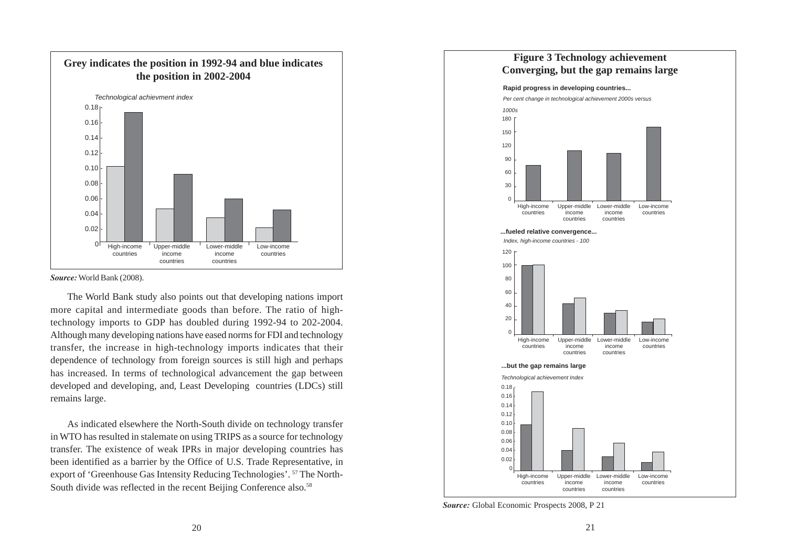

#### *Source:* World Bank (2008).

The World Bank study also points out that developing nations import more capital and intermediate goods than before. The ratio of hightechnology imports to GDP has doubled during 1992-94 to 202-2004. Although many developing nations have eased norms for FDI and technology transfer, the increase in high-technology imports indicates that their dependence of technology from foreign sources is still high and perhaps has increased. In terms of technological advancement the gap between developed and developing, and, Least Developing countries (LDCs) still remains large.

As indicated elsewhere the North-South divide on technology transfer in WTO has resulted in stalemate on using TRIPS as a source for technology transfer. The existence of weak IPRs in major developing countries has been identified as a barrier by the Office of U.S. Trade Representative, in export of 'Greenhouse Gas Intensity Reducing Technologies'. 57 The North-South divide was reflected in the recent Beijing Conference also.<sup>58</sup>



*Source:* Global Economic Prospects 2008, P 21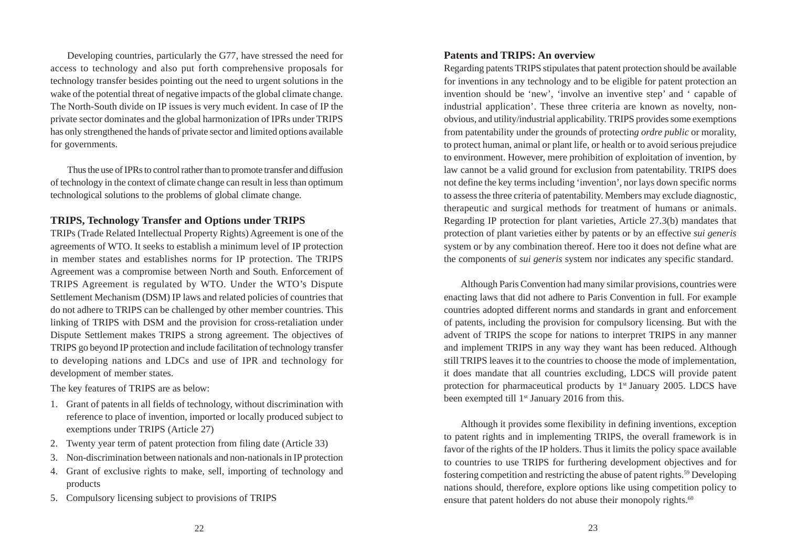Developing countries, particularly the G77, have stressed the need for access to technology and also put forth comprehensive proposals for technology transfer besides pointing out the need to urgent solutions in the wake of the potential threat of negative impacts of the global climate change. The North-South divide on IP issues is very much evident. In case of IP the private sector dominates and the global harmonization of IPRs under TRIPS has only strengthened the hands of private sector and limited options available for governments.

Thus the use of IPRs to control rather than to promote transfer and diffusion of technology in the context of climate change can result in less than optimum technological solutions to the problems of global climate change.

#### **TRIPS, Technology Transfer and Options under TRIPS**

TRIPs (Trade Related Intellectual Property Rights) Agreement is one of the agreements of WTO. It seeks to establish a minimum level of IP protection in member states and establishes norms for IP protection. The TRIPS Agreement was a compromise between North and South. Enforcement of TRIPS Agreement is regulated by WTO. Under the WTO's Dispute Settlement Mechanism (DSM) IP laws and related policies of countries that do not adhere to TRIPS can be challenged by other member countries. This linking of TRIPS with DSM and the provision for cross-retaliation under Dispute Settlement makes TRIPS a strong agreement. The objectives of TRIPS go beyond IP protection and include facilitation of technology transfer to developing nations and LDCs and use of IPR and technology for development of member states.

The key features of TRIPS are as below:

- 1. Grant of patents in all fields of technology, without discrimination with reference to place of invention, imported or locally produced subject to exemptions under TRIPS (Article 27)
- 2. Twenty year term of patent protection from filing date (Article 33)
- 3. Non-discrimination between nationals and non-nationals in IP protection
- 4. Grant of exclusive rights to make, sell, importing of technology and products
- 5. Compulsory licensing subject to provisions of TRIPS

#### **Patents and TRIPS: An overview**

Regarding patents TRIPS stipulates that patent protection should be available for inventions in any technology and to be eligible for patent protection an invention should be 'new', 'involve an inventive step' and ' capable of industrial application'. These three criteria are known as novelty, nonobvious, and utility/industrial applicability. TRIPS provides some exemptions from patentability under the grounds of protectin*g ordre public* or morality, to protect human, animal or plant life, or health or to avoid serious prejudice to environment. However, mere prohibition of exploitation of invention, by law cannot be a valid ground for exclusion from patentability. TRIPS does not define the key terms including 'invention', nor lays down specific norms to assess the three criteria of patentability. Members may exclude diagnostic, therapeutic and surgical methods for treatment of humans or animals. Regarding IP protection for plant varieties, Article 27.3(b) mandates that protection of plant varieties either by patents or by an effective *sui generis* system or by any combination thereof. Here too it does not define what are the components of *sui generis* system nor indicates any specific standard.

Although Paris Convention had many similar provisions, countries were enacting laws that did not adhere to Paris Convention in full. For example countries adopted different norms and standards in grant and enforcement of patents, including the provision for compulsory licensing. But with the advent of TRIPS the scope for nations to interpret TRIPS in any manner and implement TRIPS in any way they want has been reduced. Although still TRIPS leaves it to the countries to choose the mode of implementation, it does mandate that all countries excluding, LDCS will provide patent protection for pharmaceutical products by  $1<sup>st</sup>$  January 2005. LDCS have been exempted till 1<sup>st</sup> January 2016 from this.

Although it provides some flexibility in defining inventions, exception to patent rights and in implementing TRIPS, the overall framework is in favor of the rights of the IP holders. Thus it limits the policy space available to countries to use TRIPS for furthering development objectives and for fostering competition and restricting the abuse of patent rights.59 Developing nations should, therefore, explore options like using competition policy to ensure that patent holders do not abuse their monopoly rights. $60$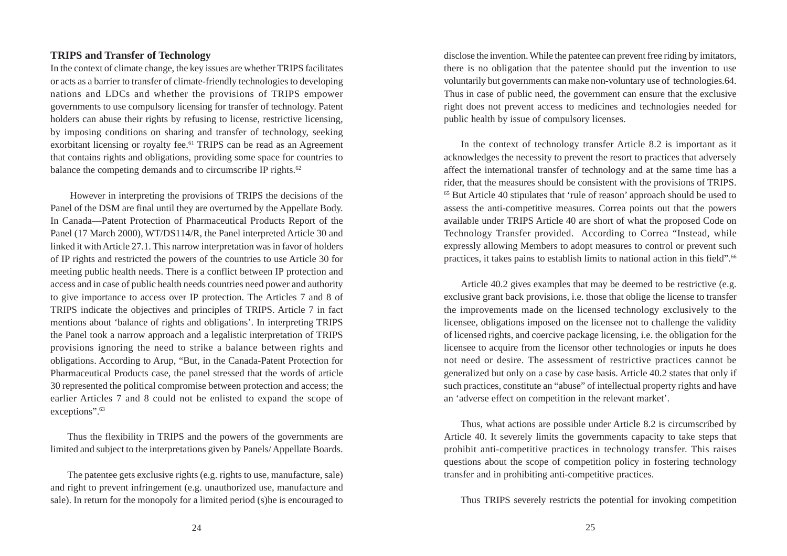#### **TRIPS and Transfer of Technology**

In the context of climate change, the key issues are whether TRIPS facilitates or acts as a barrier to transfer of climate-friendly technologies to developing nations and LDCs and whether the provisions of TRIPS empower governments to use compulsory licensing for transfer of technology. Patent holders can abuse their rights by refusing to license, restrictive licensing, by imposing conditions on sharing and transfer of technology, seeking exorbitant licensing or royalty fee.<sup>61</sup> TRIPS can be read as an Agreement that contains rights and obligations, providing some space for countries to balance the competing demands and to circumscribe IP rights.<sup>62</sup>

 However in interpreting the provisions of TRIPS the decisions of the Panel of the DSM are final until they are overturned by the Appellate Body. In Canada—Patent Protection of Pharmaceutical Products Report of the Panel (17 March 2000), WT/DS114/R, the Panel interpreted Article 30 and linked it with Article 27.1. This narrow interpretation was in favor of holders of IP rights and restricted the powers of the countries to use Article 30 for meeting public health needs. There is a conflict between IP protection and access and in case of public health needs countries need power and authority to give importance to access over IP protection. The Articles 7 and 8 of TRIPS indicate the objectives and principles of TRIPS. Article 7 in fact mentions about 'balance of rights and obligations'. In interpreting TRIPS the Panel took a narrow approach and a legalistic interpretation of TRIPS provisions ignoring the need to strike a balance between rights and obligations. According to Arup, "But, in the Canada-Patent Protection for Pharmaceutical Products case, the panel stressed that the words of article 30 represented the political compromise between protection and access; the earlier Articles 7 and 8 could not be enlisted to expand the scope of exceptions".<sup>63</sup>

Thus the flexibility in TRIPS and the powers of the governments are limited and subject to the interpretations given by Panels/ Appellate Boards.

The patentee gets exclusive rights (e.g. rights to use, manufacture, sale) and right to prevent infringement (e.g. unauthorized use, manufacture and sale). In return for the monopoly for a limited period (s)he is encouraged to disclose the invention. While the patentee can prevent free riding by imitators, there is no obligation that the patentee should put the invention to use voluntarily but governments can make non-voluntary use of technologies.64. Thus in case of public need, the government can ensure that the exclusive right does not prevent access to medicines and technologies needed for public health by issue of compulsory licenses.

In the context of technology transfer Article 8.2 is important as it acknowledges the necessity to prevent the resort to practices that adversely affect the international transfer of technology and at the same time has a rider, that the measures should be consistent with the provisions of TRIPS. 65 But Article 40 stipulates that 'rule of reason' approach should be used to assess the anti-competitive measures. Correa points out that the powers available under TRIPS Article 40 are short of what the proposed Code on Technology Transfer provided. According to Correa "Instead, while expressly allowing Members to adopt measures to control or prevent such practices, it takes pains to establish limits to national action in this field".66

Article 40.2 gives examples that may be deemed to be restrictive (e.g. exclusive grant back provisions, i.e. those that oblige the license to transfer the improvements made on the licensed technology exclusively to the licensee, obligations imposed on the licensee not to challenge the validity of licensed rights, and coercive package licensing, i.e. the obligation for the licensee to acquire from the licensor other technologies or inputs he does not need or desire. The assessment of restrictive practices cannot be generalized but only on a case by case basis. Article 40.2 states that only if such practices, constitute an "abuse" of intellectual property rights and have an 'adverse effect on competition in the relevant market'.

Thus, what actions are possible under Article 8.2 is circumscribed by Article 40. It severely limits the governments capacity to take steps that prohibit anti-competitive practices in technology transfer. This raises questions about the scope of competition policy in fostering technology transfer and in prohibiting anti-competitive practices.

Thus TRIPS severely restricts the potential for invoking competition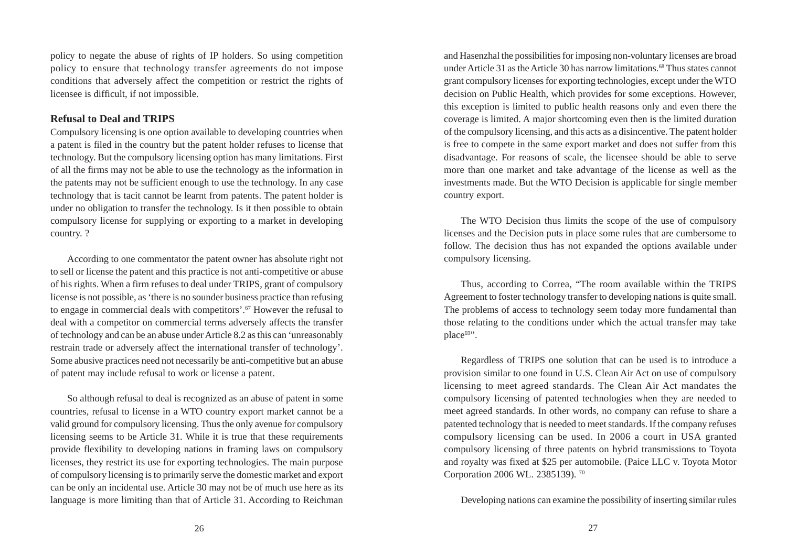policy to negate the abuse of rights of IP holders. So using competition policy to ensure that technology transfer agreements do not impose conditions that adversely affect the competition or restrict the rights of licensee is difficult, if not impossible.

#### **Refusal to Deal and TRIPS**

Compulsory licensing is one option available to developing countries when a patent is filed in the country but the patent holder refuses to license that technology. But the compulsory licensing option has many limitations. First of all the firms may not be able to use the technology as the information in the patents may not be sufficient enough to use the technology. In any case technology that is tacit cannot be learnt from patents. The patent holder is under no obligation to transfer the technology. Is it then possible to obtain compulsory license for supplying or exporting to a market in developing country. ?

According to one commentator the patent owner has absolute right not to sell or license the patent and this practice is not anti-competitive or abuse of his rights. When a firm refuses to deal under TRIPS, grant of compulsory license is not possible, as 'there is no sounder business practice than refusing to engage in commercial deals with competitors'.67 However the refusal to deal with a competitor on commercial terms adversely affects the transfer of technology and can be an abuse under Article 8.2 as this can 'unreasonably restrain trade or adversely affect the international transfer of technology'. Some abusive practices need not necessarily be anti-competitive but an abuse of patent may include refusal to work or license a patent.

So although refusal to deal is recognized as an abuse of patent in some countries, refusal to license in a WTO country export market cannot be a valid ground for compulsory licensing. Thus the only avenue for compulsory licensing seems to be Article 31. While it is true that these requirements provide flexibility to developing nations in framing laws on compulsory licenses, they restrict its use for exporting technologies. The main purpose of compulsory licensing is to primarily serve the domestic market and export can be only an incidental use. Article 30 may not be of much use here as its language is more limiting than that of Article 31. According to Reichman and Hasenzhal the possibilities for imposing non-voluntary licenses are broad under Article 31 as the Article 30 has narrow limitations.<sup>68</sup> Thus states cannot grant compulsory licenses for exporting technologies, except under the WTO decision on Public Health, which provides for some exceptions. However, this exception is limited to public health reasons only and even there the coverage is limited. A major shortcoming even then is the limited duration of the compulsory licensing, and this acts as a disincentive. The patent holder is free to compete in the same export market and does not suffer from this disadvantage. For reasons of scale, the licensee should be able to serve more than one market and take advantage of the license as well as the investments made. But the WTO Decision is applicable for single member country export.

The WTO Decision thus limits the scope of the use of compulsory licenses and the Decision puts in place some rules that are cumbersome to follow. The decision thus has not expanded the options available under compulsory licensing.

Thus, according to Correa, "The room available within the TRIPS Agreement to foster technology transfer to developing nations is quite small. The problems of access to technology seem today more fundamental than those relating to the conditions under which the actual transfer may take  $place^{69"}.$ 

Regardless of TRIPS one solution that can be used is to introduce a provision similar to one found in U.S. Clean Air Act on use of compulsory licensing to meet agreed standards. The Clean Air Act mandates the compulsory licensing of patented technologies when they are needed to meet agreed standards. In other words, no company can refuse to share a patented technology that is needed to meet standards. If the company refuses compulsory licensing can be used. In 2006 a court in USA granted compulsory licensing of three patents on hybrid transmissions to Toyota and royalty was fixed at \$25 per automobile. (Paice LLC v. Toyota Motor Corporation 2006 WL. 2385139). 70

Developing nations can examine the possibility of inserting similar rules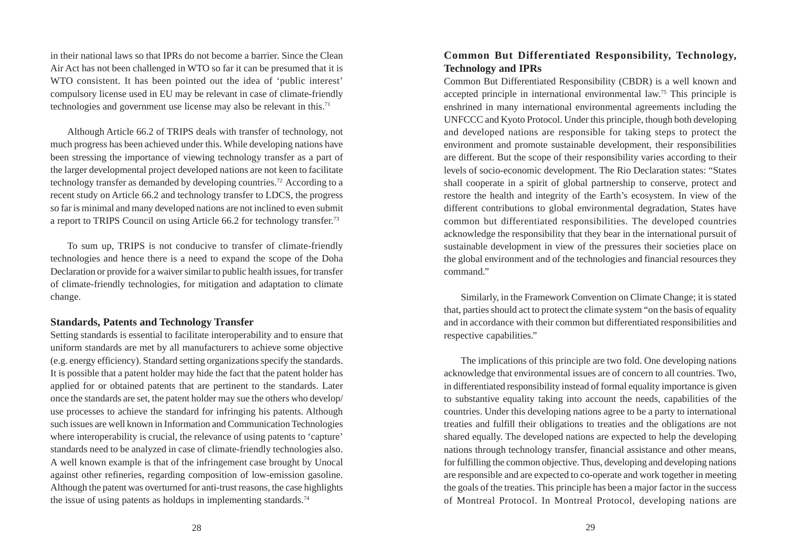in their national laws so that IPRs do not become a barrier. Since the Clean Air Act has not been challenged in WTO so far it can be presumed that it is WTO consistent. It has been pointed out the idea of 'public interest' compulsory license used in EU may be relevant in case of climate-friendly technologies and government use license may also be relevant in this.<sup>71</sup>

Although Article 66.2 of TRIPS deals with transfer of technology, not much progress has been achieved under this. While developing nations have been stressing the importance of viewing technology transfer as a part of the larger developmental project developed nations are not keen to facilitate technology transfer as demanded by developing countries.72 According to a recent study on Article 66.2 and technology transfer to LDCS, the progress so far is minimal and many developed nations are not inclined to even submit a report to TRIPS Council on using Article 66.2 for technology transfer.73

To sum up, TRIPS is not conducive to transfer of climate-friendly technologies and hence there is a need to expand the scope of the Doha Declaration or provide for a waiver similar to public health issues, for transfer of climate-friendly technologies, for mitigation and adaptation to climate change.

#### **Standards, Patents and Technology Transfer**

Setting standards is essential to facilitate interoperability and to ensure that uniform standards are met by all manufacturers to achieve some objective (e.g. energy efficiency). Standard setting organizations specify the standards. It is possible that a patent holder may hide the fact that the patent holder has applied for or obtained patents that are pertinent to the standards. Later once the standards are set, the patent holder may sue the others who develop/ use processes to achieve the standard for infringing his patents. Although such issues are well known in Information and Communication Technologies where interoperability is crucial, the relevance of using patents to 'capture' standards need to be analyzed in case of climate-friendly technologies also. A well known example is that of the infringement case brought by Unocal against other refineries, regarding composition of low-emission gasoline. Although the patent was overturned for anti-trust reasons, the case highlights the issue of using patents as holdups in implementing standards.<sup>74</sup>

## **Common But Differentiated Responsibility, Technology, Technology and IPRs**

Common But Differentiated Responsibility (CBDR) is a well known and accepted principle in international environmental law.75 This principle is enshrined in many international environmental agreements including the UNFCCC and Kyoto Protocol. Under this principle, though both developing and developed nations are responsible for taking steps to protect the environment and promote sustainable development, their responsibilities are different. But the scope of their responsibility varies according to their levels of socio-economic development. The Rio Declaration states: "States shall cooperate in a spirit of global partnership to conserve, protect and restore the health and integrity of the Earth's ecosystem. In view of the different contributions to global environmental degradation, States have common but differentiated responsibilities. The developed countries acknowledge the responsibility that they bear in the international pursuit of sustainable development in view of the pressures their societies place on the global environment and of the technologies and financial resources they command."

Similarly, in the Framework Convention on Climate Change; it is stated that, parties should act to protect the climate system "on the basis of equality and in accordance with their common but differentiated responsibilities and respective capabilities."

The implications of this principle are two fold. One developing nations acknowledge that environmental issues are of concern to all countries. Two, in differentiated responsibility instead of formal equality importance is given to substantive equality taking into account the needs, capabilities of the countries. Under this developing nations agree to be a party to international treaties and fulfill their obligations to treaties and the obligations are not shared equally. The developed nations are expected to help the developing nations through technology transfer, financial assistance and other means, for fulfilling the common objective. Thus, developing and developing nations are responsible and are expected to co-operate and work together in meeting the goals of the treaties. This principle has been a major factor in the success of Montreal Protocol. In Montreal Protocol, developing nations are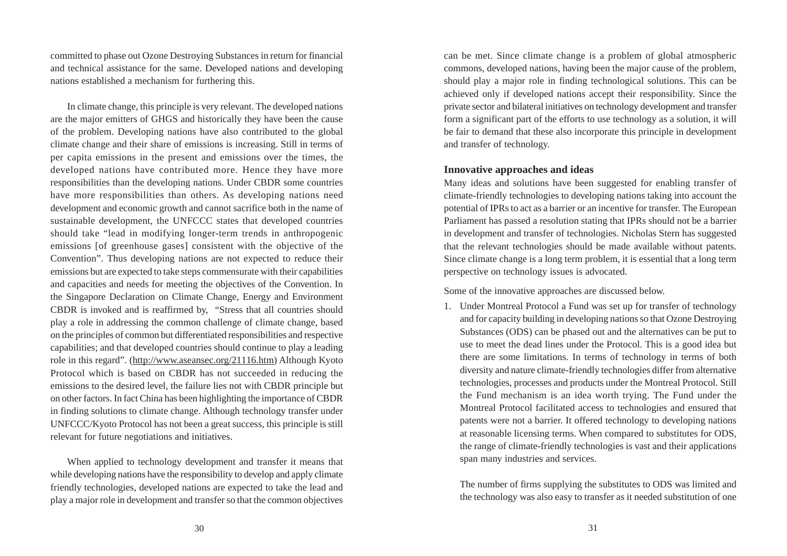committed to phase out Ozone Destroying Substances in return for financial and technical assistance for the same. Developed nations and developing nations established a mechanism for furthering this.

In climate change, this principle is very relevant. The developed nations are the major emitters of GHGS and historically they have been the cause of the problem. Developing nations have also contributed to the global climate change and their share of emissions is increasing. Still in terms of per capita emissions in the present and emissions over the times, the developed nations have contributed more. Hence they have more responsibilities than the developing nations. Under CBDR some countries have more responsibilities than others. As developing nations need development and economic growth and cannot sacrifice both in the name of sustainable development, the UNFCCC states that developed countries should take "lead in modifying longer-term trends in anthropogenic emissions [of greenhouse gases] consistent with the objective of the Convention". Thus developing nations are not expected to reduce their emissions but are expected to take steps commensurate with their capabilities and capacities and needs for meeting the objectives of the Convention. In the Singapore Declaration on Climate Change, Energy and Environment CBDR is invoked and is reaffirmed by, "Stress that all countries should play a role in addressing the common challenge of climate change, based on the principles of common but differentiated responsibilities and respective capabilities; and that developed countries should continue to play a leading role in this regard". (http://www.aseansec.org/21116.htm) Although Kyoto Protocol which is based on CBDR has not succeeded in reducing the emissions to the desired level, the failure lies not with CBDR principle but on other factors. In fact China has been highlighting the importance of CBDR in finding solutions to climate change. Although technology transfer under UNFCCC/Kyoto Protocol has not been a great success, this principle is still relevant for future negotiations and initiatives.

When applied to technology development and transfer it means that while developing nations have the responsibility to develop and apply climate friendly technologies, developed nations are expected to take the lead and play a major role in development and transfer so that the common objectives can be met. Since climate change is a problem of global atmospheric commons, developed nations, having been the major cause of the problem, should play a major role in finding technological solutions. This can be achieved only if developed nations accept their responsibility. Since the private sector and bilateral initiatives on technology development and transfer form a significant part of the efforts to use technology as a solution, it will be fair to demand that these also incorporate this principle in development and transfer of technology.

#### **Innovative approaches and ideas**

Many ideas and solutions have been suggested for enabling transfer of climate-friendly technologies to developing nations taking into account the potential of IPRs to act as a barrier or an incentive for transfer. The European Parliament has passed a resolution stating that IPRs should not be a barrier in development and transfer of technologies. Nicholas Stern has suggested that the relevant technologies should be made available without patents. Since climate change is a long term problem, it is essential that a long term perspective on technology issues is advocated.

Some of the innovative approaches are discussed below.

1. Under Montreal Protocol a Fund was set up for transfer of technology and for capacity building in developing nations so that Ozone Destroying Substances (ODS) can be phased out and the alternatives can be put to use to meet the dead lines under the Protocol. This is a good idea but there are some limitations. In terms of technology in terms of both diversity and nature climate-friendly technologies differ from alternative technologies, processes and products under the Montreal Protocol. Still the Fund mechanism is an idea worth trying. The Fund under the Montreal Protocol facilitated access to technologies and ensured that patents were not a barrier. It offered technology to developing nations at reasonable licensing terms. When compared to substitutes for ODS, the range of climate-friendly technologies is vast and their applications span many industries and services.

The number of firms supplying the substitutes to ODS was limited and the technology was also easy to transfer as it needed substitution of one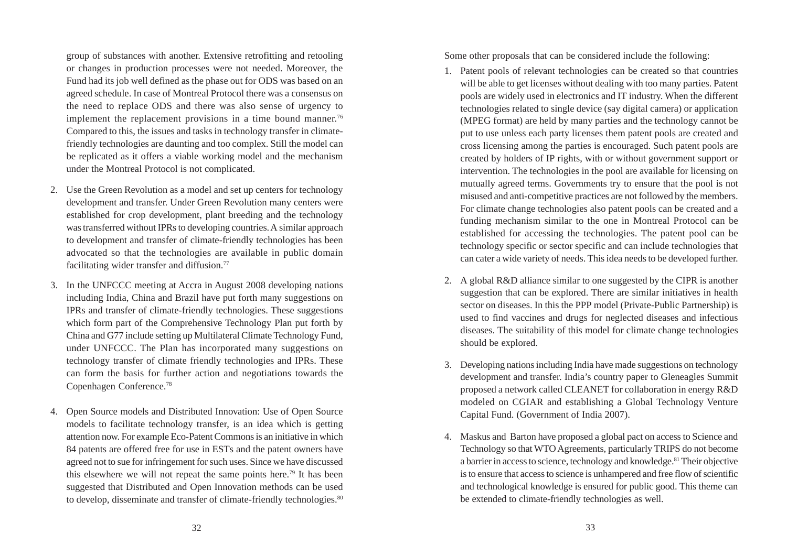group of substances with another. Extensive retrofitting and retooling or changes in production processes were not needed. Moreover, the Fund had its job well defined as the phase out for ODS was based on an agreed schedule. In case of Montreal Protocol there was a consensus on the need to replace ODS and there was also sense of urgency to implement the replacement provisions in a time bound manner.<sup>76</sup> Compared to this, the issues and tasks in technology transfer in climatefriendly technologies are daunting and too complex. Still the model can be replicated as it offers a viable working model and the mechanism under the Montreal Protocol is not complicated.

- 2. Use the Green Revolution as a model and set up centers for technology development and transfer. Under Green Revolution many centers were established for crop development, plant breeding and the technology was transferred without IPRs to developing countries. A similar approach to development and transfer of climate-friendly technologies has been advocated so that the technologies are available in public domain facilitating wider transfer and diffusion.<sup>77</sup>
- 3. In the UNFCCC meeting at Accra in August 2008 developing nations including India, China and Brazil have put forth many suggestions on IPRs and transfer of climate-friendly technologies. These suggestions which form part of the Comprehensive Technology Plan put forth by China and G77 include setting up Multilateral Climate Technology Fund, under UNFCCC. The Plan has incorporated many suggestions on technology transfer of climate friendly technologies and IPRs. These can form the basis for further action and negotiations towards the Copenhagen Conference.78
- 4. Open Source models and Distributed Innovation: Use of Open Source models to facilitate technology transfer, is an idea which is getting attention now. For example Eco-Patent Commons is an initiative in which 84 patents are offered free for use in ESTs and the patent owners have agreed not to sue for infringement for such uses. Since we have discussed this elsewhere we will not repeat the same points here.79 It has been suggested that Distributed and Open Innovation methods can be used to develop, disseminate and transfer of climate-friendly technologies.<sup>80</sup>

Some other proposals that can be considered include the following:

- 1. Patent pools of relevant technologies can be created so that countries will be able to get licenses without dealing with too many parties. Patent pools are widely used in electronics and IT industry. When the different technologies related to single device (say digital camera) or application (MPEG format) are held by many parties and the technology cannot be put to use unless each party licenses them patent pools are created and cross licensing among the parties is encouraged. Such patent pools are created by holders of IP rights, with or without government support or intervention. The technologies in the pool are available for licensing on mutually agreed terms. Governments try to ensure that the pool is not misused and anti-competitive practices are not followed by the members. For climate change technologies also patent pools can be created and a funding mechanism similar to the one in Montreal Protocol can be established for accessing the technologies. The patent pool can be technology specific or sector specific and can include technologies that can cater a wide variety of needs. This idea needs to be developed further.
- 2. A global R&D alliance similar to one suggested by the CIPR is another suggestion that can be explored. There are similar initiatives in health sector on diseases. In this the PPP model (Private-Public Partnership) is used to find vaccines and drugs for neglected diseases and infectious diseases. The suitability of this model for climate change technologies should be explored.
- 3. Developing nations including India have made suggestions on technology development and transfer. India's country paper to Gleneagles Summit proposed a network called CLEANET for collaboration in energy R&D modeled on CGIAR and establishing a Global Technology Venture Capital Fund. (Government of India 2007).
- 4. Maskus and Barton have proposed a global pact on access to Science and Technology so that WTO Agreements, particularly TRIPS do not become a barrier in access to science, technology and knowledge.<sup>81</sup> Their objective is to ensure that access to science is unhampered and free flow of scientific and technological knowledge is ensured for public good. This theme can be extended to climate-friendly technologies as well.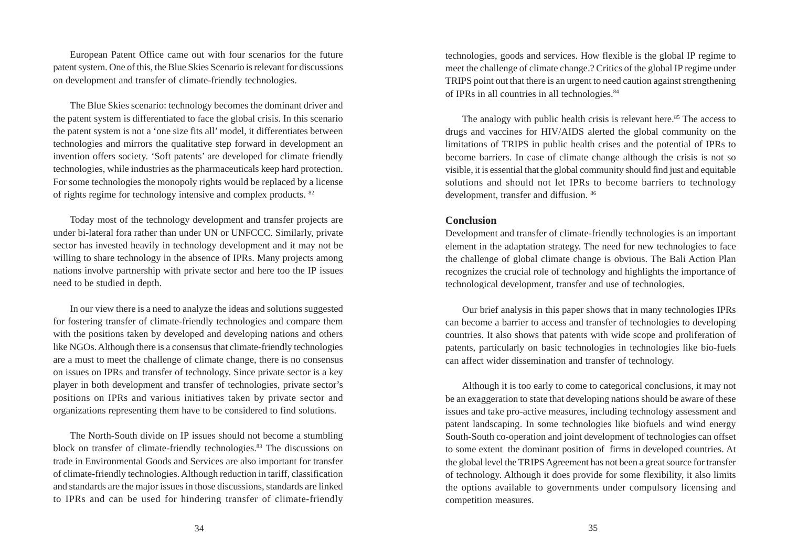European Patent Office came out with four scenarios for the future patent system. One of this, the Blue Skies Scenario is relevant for discussions on development and transfer of climate-friendly technologies.

The Blue Skies scenario: technology becomes the dominant driver and the patent system is differentiated to face the global crisis. In this scenario the patent system is not a 'one size fits all' model, it differentiates between technologies and mirrors the qualitative step forward in development an invention offers society. 'Soft patents' are developed for climate friendly technologies, while industries as the pharmaceuticals keep hard protection. For some technologies the monopoly rights would be replaced by a license of rights regime for technology intensive and complex products. 82

Today most of the technology development and transfer projects are under bi-lateral fora rather than under UN or UNFCCC. Similarly, private sector has invested heavily in technology development and it may not be willing to share technology in the absence of IPRs. Many projects among nations involve partnership with private sector and here too the IP issues need to be studied in depth.

In our view there is a need to analyze the ideas and solutions suggested for fostering transfer of climate-friendly technologies and compare them with the positions taken by developed and developing nations and others like NGOs. Although there is a consensus that climate-friendly technologies are a must to meet the challenge of climate change, there is no consensus on issues on IPRs and transfer of technology. Since private sector is a key player in both development and transfer of technologies, private sector's positions on IPRs and various initiatives taken by private sector and organizations representing them have to be considered to find solutions.

The North-South divide on IP issues should not become a stumbling block on transfer of climate-friendly technologies.83 The discussions on trade in Environmental Goods and Services are also important for transfer of climate-friendly technologies. Although reduction in tariff, classification and standards are the major issues in those discussions, standards are linked to IPRs and can be used for hindering transfer of climate-friendly

technologies, goods and services. How flexible is the global IP regime to meet the challenge of climate change.? Critics of the global IP regime under TRIPS point out that there is an urgent to need caution against strengthening of IPRs in all countries in all technologies.84

The analogy with public health crisis is relevant here. $85$  The access to drugs and vaccines for HIV/AIDS alerted the global community on the limitations of TRIPS in public health crises and the potential of IPRs to become barriers. In case of climate change although the crisis is not so visible, it is essential that the global community should find just and equitable solutions and should not let IPRs to become barriers to technology development, transfer and diffusion. 86

#### **Conclusion**

Development and transfer of climate-friendly technologies is an important element in the adaptation strategy. The need for new technologies to face the challenge of global climate change is obvious. The Bali Action Plan recognizes the crucial role of technology and highlights the importance of technological development, transfer and use of technologies.

Our brief analysis in this paper shows that in many technologies IPRs can become a barrier to access and transfer of technologies to developing countries. It also shows that patents with wide scope and proliferation of patents, particularly on basic technologies in technologies like bio-fuels can affect wider dissemination and transfer of technology.

Although it is too early to come to categorical conclusions, it may not be an exaggeration to state that developing nations should be aware of these issues and take pro-active measures, including technology assessment and patent landscaping. In some technologies like biofuels and wind energy South-South co-operation and joint development of technologies can offset to some extent the dominant position of firms in developed countries. At the global level the TRIPS Agreement has not been a great source for transfer of technology. Although it does provide for some flexibility, it also limits the options available to governments under compulsory licensing and competition measures.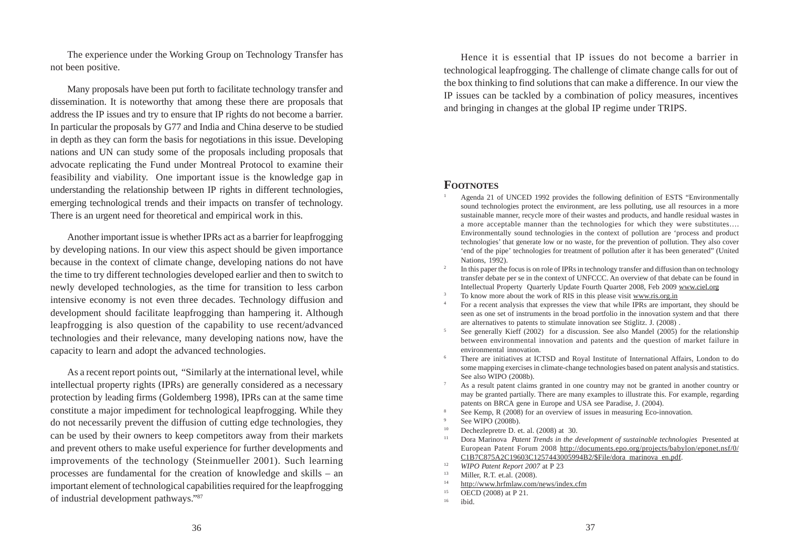The experience under the Working Group on Technology Transfer has not been positive.

Many proposals have been put forth to facilitate technology transfer and dissemination. It is noteworthy that among these there are proposals that address the IP issues and try to ensure that IP rights do not become a barrier. In particular the proposals by G77 and India and China deserve to be studied in depth as they can form the basis for negotiations in this issue. Developing nations and UN can study some of the proposals including proposals that advocate replicating the Fund under Montreal Protocol to examine their feasibility and viability. One important issue is the knowledge gap in understanding the relationship between IP rights in different technologies, emerging technological trends and their impacts on transfer of technology. There is an urgent need for theoretical and empirical work in this.

Another important issue is whether IPRs act as a barrier for leapfrogging by developing nations. In our view this aspect should be given importance because in the context of climate change, developing nations do not have the time to try different technologies developed earlier and then to switch to newly developed technologies, as the time for transition to less carbon intensive economy is not even three decades. Technology diffusion and development should facilitate leapfrogging than hampering it. Although leapfrogging is also question of the capability to use recent/advanced technologies and their relevance, many developing nations now, have the capacity to learn and adopt the advanced technologies.

As a recent report points out, "Similarly at the international level, while intellectual property rights (IPRs) are generally considered as a necessary protection by leading firms (Goldemberg 1998), IPRs can at the same time constitute a major impediment for technological leapfrogging. While they do not necessarily prevent the diffusion of cutting edge technologies, they can be used by their owners to keep competitors away from their markets and prevent others to make useful experience for further developments and improvements of the technology (Steinmueller 2001). Such learning processes are fundamental for the creation of knowledge and skills – an important element of technological capabilities required for the leapfrogging of industrial development pathways."87

Hence it is essential that IP issues do not become a barrier in technological leapfrogging. The challenge of climate change calls for out of the box thinking to find solutions that can make a difference. In our view the IP issues can be tackled by a combination of policy measures, incentives and bringing in changes at the global IP regime under TRIPS.

#### **FOOTNOTES**

- <sup>1</sup> Agenda 21 of UNCED 1992 provides the following definition of ESTS "Environmentally sound technologies protect the environment, are less polluting, use all resources in a more sustainable manner, recycle more of their wastes and products, and handle residual wastes in a more acceptable manner than the technologies for which they were substitutes…. Environmentally sound technologies in the context of pollution are 'process and product technologies' that generate low or no waste, for the prevention of pollution. They also cover 'end of the pipe' technologies for treatment of pollution after it has been generated" (United Nations, 1992).
- <sup>2</sup> In this paper the focus is on role of IPRs in technology transfer and diffusion than on technology transfer debate per se in the context of UNFCCC. An overview of that debate can be found in Intellectual Property Quarterly Update Fourth Quarter 2008, Feb 2009 www.ciel.org
- <sup>3</sup> To know more about the work of RIS in this please visit www.ris.org.in
- <sup>4</sup> For a recent analysis that expresses the view that while IPRs are important, they should be seen as one set of instruments in the broad portfolio in the innovation system and that there are alternatives to patents to stimulate innovation see Stiglitz. J. (2008) .
- <sup>5</sup> See generally Kieff (2002) for a discussion. See also Mandel (2005) for the relationship between environmental innovation and patents and the question of market failure in environmental innovation.
- <sup>6</sup> There are initiatives at ICTSD and Royal Institute of International Affairs, London to do some mapping exercises in climate-change technologies based on patent analysis and statistics. See also WIPO (2008b).
- <sup>7</sup> As a result patent claims granted in one country may not be granted in another country or may be granted partially. There are many examples to illustrate this. For example, regarding patents on BRCA gene in Europe and USA see Paradise, J. (2004).
- See Kemp, R (2008) for an overview of issues in measuring Eco-innovation.
- See WIPO (2008b).
- <sup>10</sup> Dechezlepretre D. et. al. (2008) at 30.<br><sup>11</sup> Dora Marinova, *Patent Trends in the d*
- <sup>11</sup> Dora Marinova *Patent Trends in the development of sustainable technologies* Presented at European Patent Forum 2008 http://documents.epo.org/projects/babylon/eponet.nsf/0/ C1B7C875A2C19603C1257443005994B2/\$File/dora\_marinova\_en.pdf.
- <sup>12</sup> *WIPO Patent Report 2007* at P 23<br><sup>13</sup> **Miller P T** et al. (2008)
- 13 Miller, R.T. et.al. (2008).<br><sup>14</sup> http://www.hrfmlaw.com
- <sup>14</sup> http://www.hrfmlaw.com/news/index.cfm
- $^{15}$  OECD (2008) at P 21.
- ibid.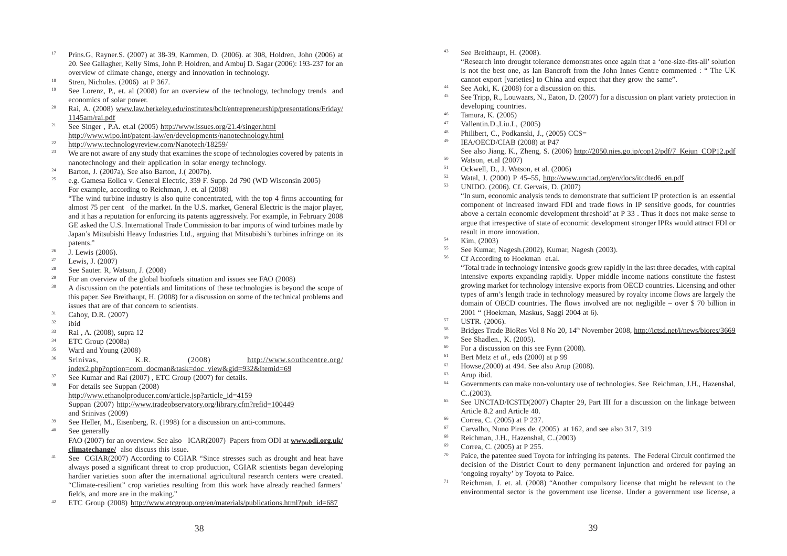- <sup>17</sup> Prins.G, Rayner.S. (2007) at 38-39, Kammen, D. (2006). at 308, Holdren, John (2006) at 20. See Gallagher, Kelly Sims, John P. Holdren, and Ambuj D. Sagar (2006): 193-237 for an overview of climate change, energy and innovation in technology.
- <sup>18</sup> Stren, Nicholas. (2006) at P 367.
- See Lorenz, P., et. al (2008) for an overview of the technology, technology trends and economics of solar power.
- <sup>20</sup> Rai, A. (2008) www.law.berkeley.edu/institutes/bclt/entrepreneurship/presentations/Friday/ 1145am/rai.pdf
- <sup>21</sup> See Singer , P.A. et.al (2005) http://www.issues.org/21.4/singer.html http://www.wipo.int/patent-law/en/developments/nanotechnology.html
- $\frac{22}{23}$  http://www.technologyreview.com/Nanotech/18259/
- We are not aware of any study that examines the scope of technologies covered by patents in nanotechnology and their application in solar energy technology.
- <sup>24</sup> Barton, J. (2007a), See also Barton, J. (2007b).
- <sup>25</sup> e.g. Gamesa Eolica v. General Electric, 359 F. Supp. 2d 790 (WD Wisconsin 2005) For example, according to Reichman, J. et. al (2008)

"The wind turbine industry is also quite concentrated, with the top 4 firms accounting for almost 75 per cent of the market. In the U.S. market, General Electric is the major player, and it has a reputation for enforcing its patents aggressively. For example, in February 2008 GE asked the U.S. International Trade Commission to bar imports of wind turbines made by Japan's Mitsubishi Heavy Industries Ltd., arguing that Mitsubishi's turbines infringe on its patents."

- $\frac{26}{27}$  J. Lewis (2006).
- <sup>27</sup> Lewis, J. (2007)
- <sup>28</sup> See Sauter. R, Watson, J. (2008)
- <sup>29</sup> For an overview of the global biofuels situation and issues see FAO (2008)
- <sup>30</sup> A discussion on the potentials and limitations of these technologies is beyond the scope of this paper. See Breithaupt, H. (2008) for a discussion on some of the technical problems and issues that are of that concern to scientists.
- $31$  Cahoy, D.R. (2007)
- $rac{32}{33}$  ibid
- 
- $\frac{33}{34}$  Rai , A. (2008), supra 12<br> $\frac{34}{12}$  ETC Group (2008)  $rac{34}{35}$  ETC Group (2008a)
- 
- $\frac{35}{36}$  Ward and Young (2008)<br> $\frac{36}{36}$  Srinivas. K.R. Srinivas, K.R. (2008) http://www.southcentre.org/ index2.php?option=com\_docman&task=doc\_view&gid=932&Itemid=69
- 
- <sup>37</sup> See Kumar and Rai (2007) , ETC Group (2007) for details.<br><sup>38</sup> Eq. details see Suppen (2008). For details see Suppan (2008) http://www.ethanolproducer.com/article.jsp?article\_id=4159 Suppan (2007) http://www.tradeobservatory.org/library.cfm?refid=100449 and Srinivas (2009)
- <sup>39</sup> See Heller, M., Eisenberg, R. (1998) for a discussion on anti-commons.
- See generally FAO (2007) for an overview. See also ICAR(2007) Papers from ODI at **www.odi.org.uk/ climatechange/** also discuss this issue.
- <sup>41</sup> See CGIAR(2007) According to CGIAR "Since stresses such as drought and heat have always posed a significant threat to crop production, CGIAR scientists began developing hardier varieties soon after the international agricultural research centers were created. "Climate-resilient" crop varieties resulting from this work have already reached farmers' fields, and more are in the making."
- <sup>42</sup> ETC Group (2008) http://www.etcgroup.org/en/materials/publications.html?pub\_id=687

<sup>43</sup> See Breithaupt, H. (2008).

"Research into drought tolerance demonstrates once again that a 'one-size-fits-all' solution is not the best one, as Ian Bancroft from the John Innes Centre commented : " The UK cannot export [varieties] to China and expect that they grow the same".

- <sup>44</sup> See Aoki, K. (2008) for a discussion on this.<br><sup>45</sup> See Tripe B. J. currence M. Esten, D. (2007)
- See Tripp, R., Louwaars, N., Eaton, D. (2007) for a discussion on plant variety protection in developing countries.
- $^{46}$  Tamura, K. (2005)
- $^{47}$  Vallentin.D., Liu.L,  $(2005)$ <br> $^{48}$  Philippet G. Pullippetide
- <sup>48</sup> Philibert, C., Podkanski, J., (2005) CCS=<br><sup>49</sup> IEA/OECD/CLAB (2008) at P47
- IEA/OECD/CIAB (2008) at P47
- See also Jiang, K., Zheng, S. (2006) http://2050.nies.go.jp/cop12/pdf/7\_Kejun\_COP12.pdf  $^{50}$  Watson, et.al (2007)
- $51$  Ockwell, D., J. Watson, et al. (2006)
- <sup>52</sup> Watal, J. (2000) P 45–55, http://www.unctad.org/en/docs/itcdted6\_en.pdf<br><sup>53</sup> UNIDO (2006) Cf Gerveis D (2007)
- <sup>53</sup> UNIDO. (2006). Cf. Gervais, D. (2007)

"In sum, economic analysis tends to demonstrate that sufficient IP protection is an essential component of increased inward FDI and trade flows in IP sensitive goods, for countries above a certain economic development threshold' at P 33 . Thus it does not make sense to argue that irrespective of state of economic development stronger IPRs would attract FDI or result in more innovation.

- $\frac{54}{55}$  Kim, (2003)
- <sup>55</sup> See Kumar, Nagesh.(2002), Kumar, Nagesh (2003).
- <sup>56</sup> Cf According to Hoekman et.al.

"Total trade in technology intensive goods grew rapidly in the last three decades, with capital intensive exports expanding rapidly. Upper middle income nations constitute the fastest growing market for technology intensive exports from OECD countries. Licensing and other types of arm's length trade in technology measured by royalty income flows are largely the domain of OECD countries. The flows involved are not negligible – over \$ 70 billion in 2001 " (Hoekman, Maskus, Saggi 2004 at 6).

- <sup>57</sup> USTR. (2006).
- <sup>58</sup> Bridges Trade BioRes Vol 8 No 20, 14th November 2008, http://ictsd.net/i/news/biores/3669
- <sup>59</sup> See Shadlen., K. (2005).
- <sup>60</sup> For a discussion on this see Fynn (2008).
- <sup>61</sup> Bert Metz *et al.,* eds (2000) at p 99
- $^{62}$  Howse,(2000) at 494. See also Arup (2008).
- $\frac{63}{64}$  Arup ibid.
- <sup>64</sup> Governments can make non-voluntary use of technologies. See Reichman, J.H., Hazenshal, C..(2003).
- <sup>65</sup> See UNCTAD/ICSTD(2007) Chapter 29, Part III for a discussion on the linkage between Article 8.2 and Article 40.
- Correa, C. (2005) at P 237.
- $67$  Carvalho, Nuno Pires de. (2005) at 162, and see also 317, 319
- <sup>68</sup> Reichman, J.H., Hazenshal, C..(2003)
- $^{69}$  Correa, C. (2005) at P 255.
- Paice, the patentee sued Toyota for infringing its patents. The Federal Circuit confirmed the decision of the District Court to deny permanent injunction and ordered for paying an 'ongoing royalty' by Toyota to Paice.
- $71$  Reichman, J. et. al. (2008) "Another compulsory license that might be relevant to the environmental sector is the government use license. Under a government use license, a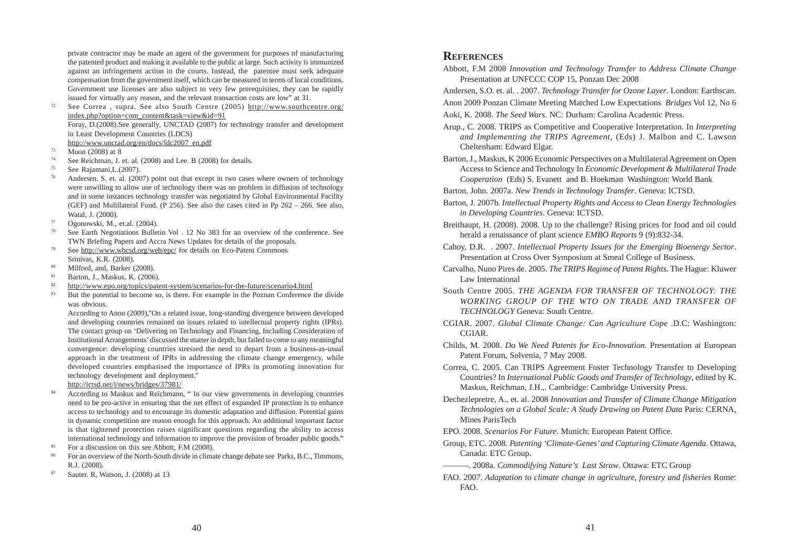private contractor may be made an agent of the government for purposes of manufacturing the patented product and making it available to the public at large. Such activity is immunized against an infringement action in the courts. Instead, the patentee must seek adequate compensation from the government itself, which can be measured in terms of local conditions. Government use licenses are also subject to very few prerequisites, they can be rapidly issued for virtually any reason, and the relevant transaction costs are low" at 31.

- <sup>72</sup> See Correa, supra. See also South Centre (2005) http://www.southcentre.org/ index.php?option=com\_content&task=view&id=91 Foray, D.(2008).See generally, UNCTAD (2007) for technology transfer and development in Least Development Countries (LDCS) http://www.unctad.org/en/docs/ldc2007\_en.pdf
- $\frac{73}{74}$  Moon (2008) at 8
- <sup>74</sup> See Reichman, J. et. al. (2008) and Lee. B (2008) for details.
- $^{75}$  See Rajamani, L. (2007).
- Andersen. S. et. al. (2007) point out that except in two cases where owners of technology were unwilling to allow use of technology there was no problem in diffusion of technology and in some instances technology transfer was negotiated by Global Environmental Facility (GEF) and Multilateral Fund. (P 256). See also the cases cited in Pp 262 – 266. See also, Watal, J. (2000).
- $\frac{77}{78}$  Ogonowski, M., et.al. (2004).
- See Earth Negotiations Bulletin Vol . 12 No 383 for an overview of the conference. See TWN Briefing Papers and Accra News Updates for details of the proposals.
- <sup>79</sup> See http://www.wbcsd.org/web/epc/ for details on Eco-Patent Commons Srinivas, K.R. (2008).
- <sup>80</sup> Milford, and, Barker (2008).
- <sup>81</sup> Barton, J., Maskus, K. (2006).<br><sup>82</sup> http://www.eno.org/topics/pate
- <sup>82</sup> http://www.epo.org/topics/patent-system/scenarios-for-the-future/scenario4.html<br><sup>83</sup> Put the potential to become so is then For example in the Poznan Conference
- But the potential to become so, is there. For example in the Poznan Conference the divide was obvious.

According to Anon (2009),"On a related issue, long-standing divergence between developed and developing countries remained on issues related to intellectual property rights (IPRs). The contact group on 'Delivering on Technology and Financing, Including Consideration of Institutional Arrangements' discussed the matter in depth, but failed to come to any meaningful convergence: developing countries stressed the need to depart from a business-as-usual approach in the treatment of IPRs in addressing the climate change emergency, while developed countries emphasised the importance of IPRs in promoting innovation for technology development and deployment."

http://ictsd.net/i/news/bridges/37981/

- <sup>84</sup> According to Maskus and Reichmann, " In our view governments in developing countries need to be pro-active in ensuring that the net effect of expanded IP protection is to enhance access to technology and to encourage its domestic adaptation and diffusion. Potential gains in dynamic competition are reason enough for this approach. An additional important factor is that tightened protection raises significant questions regarding the ability to access international technology and information to improve the provision of broader public goods."
- $85$  For a discussion on this see Abbott, F.M (2008).
- <sup>86</sup> For an overview of the North-South divide in climate change debate see Parks, B.C., Timmons, R.J. (2008).
- <sup>87</sup> Sauter. R, Watson, J. (2008) at 13

#### **REFERENCES**

Abbott, F.M 2008 *Innovation and Technology Transfer to Address Climate Change* Presentation at UNFCCC COP 15, Ponzan Dec 2008

Andersen, S.O. et. al. . 2007. *Technology Transfer for Ozone Layer*. London: Earthscan.

Anon 2009 Ponzan Climate Meeting Matched Low Expectations *Bridges* Vol 12, No 6

Aoki, K. 2008. *The Seed Wars*. NC: Durham: Carolina Academic Press.

- Arup., C. 2008. TRIPS as Competitive and Cooperative Interpretation. In *Interpreting and Implementing the TRIPS Agreement,* (Eds) J. Malbon and C. Lawson Cheltenham: Edward Elgar.
- Barton, J., Maskus, K 2006 Economic Perspectives on a Multilateral Agreement on Open Access to Science and Technology In *Economic Development & Multilateral Trade Cooperation* (Eds) S. Evanett and B. Hoekman Washington: World Bank
- Barton, John. 2007a. *New Trends in Technology Transfer*. Geneva: ICTSD.
- Barton, J. 2007b. *Intellectual Property Rights and Access to Clean Energy Technologies in Developing Countries*. Geneva: ICTSD.
- Breithaupt, H. (2008). 2008. Up to the challenge? Rising prices for food and oil could herald a renaissance of plant science *EMBO Reports* 9 (9):832-34.
- Cahoy, D.R. . 2007. *Intellectual Property Issues for the Emerging Bioenergy Sector*. Presentation at Cross Over Symposium at Smeal College of Business.
- Carvalho, Nuno Pires de. 2005. *The TRIPS Regime of Patent Rights*. The Hague: Kluwer Law International
- South Centre 2005. *THE AGENDA FOR TRANSFER OF TECHNOLOGY: THE WORKING GROUP OF THE WTO ON TRADE AND TRANSFER OF TECHNOLOGY* Geneva: South Centre.
- CGIAR. 2007. *Global Climate Change: Can Agriculture Cope* .D.C: Washington: CGIAR.
- Childs, M. 2008. *Do We Need Patents for Eco-Innovation*. Presentation at European Patent Forum, Solvenia, 7 May 2008.
- Correa, C. 2005. Can TRIPS Agreement Foster Technology Transfer to Developing Countries? In *International Public Goods and Transfer of Technology*, edited by K. Maskus, Reichman, J.H.,. Cambridge: Cambridge University Press.
- Dechezlepretre, A., et. al. 2008 *Innovation and Transfer of Climate Change Mitigation Technologies on a Global Scale: A Study Drawing on Patent Data* Paris: CERNA, Mines ParisTech
- EPO. 2008. *Scenarios For Future*. Munich: European Patent Office.
- Group, ETC. 2008. *Patenting 'Climate-Genes' and Capturing Climate Agenda*. Ottawa, Canada: ETC Group.
	- ———. 2008a. *Commodifying Nature's Last Straw*. Ottawa: ETC Group
- FAO. 2007. *Adaptation to climate change in agriculture, forestry and fisheries* Rome: FAO.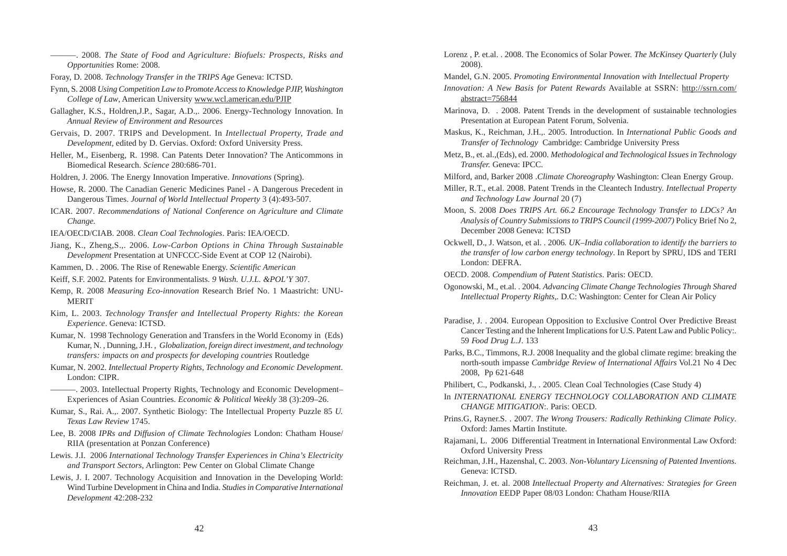———. 2008. *The State of Food and Agriculture: Biofuels: Prospects, Risks and Opportunities* Rome: 2008.

- Foray, D. 2008. *Technology Transfer in the TRIPS Age* Geneva: ICTSD.
- Fynn, S. 2008 *Using Competition Law to Promote Access to Knowledge PJIP, Washington College of Law*, American University www.wcl.american.edu/PJIP
- Gallagher, K.S., Holdren,J.P., Sagar, A.D.,. 2006. Energy-Technology Innovation. In *Annual Review of Environment and Resources*
- Gervais, D. 2007. TRIPS and Development. In *Intellectual Property, Trade and Development,* edited by D. Gervias. Oxford: Oxford University Press.
- Heller, M., Eisenberg, R. 1998. Can Patents Deter Innovation? The Anticommons in Biomedical Research. *Science* 280:686-701.
- Holdren, J. 2006. The Energy Innovation Imperative. *Innovations* (Spring).
- Howse, R. 2000. The Canadian Generic Medicines Panel A Dangerous Precedent in Dangerous Times. *Journal of World Intellectual Property* 3 (4):493-507.
- ICAR. 2007. *Recommendations of National Conference on Agriculture and Climate Change.*
- IEA/OECD/CIAB. 2008. *Clean Coal Technologies*. Paris: IEA/OECD.
- Jiang, K., Zheng,S.,. 2006. *Low-Carbon Options in China Through Sustainable Development* Presentation at UNFCCC-Side Event at COP 12 (Nairobi).
- Kammen, D. . 2006. The Rise of Renewable Energy. *Scientific American*
- Keiff, S.F. 2002. Patents for Environmentalists. *9 Wash. U.J.L. &POL'Y* 307.
- Kemp, R. 2008 *Measuring Eco-innovation* Research Brief No. 1 Maastricht: UNU-MERIT
- Kim, L. 2003. *Technology Transfer and Intellectual Property Rights: the Korean Experience*. Geneva: ICTSD.
- Kumar, N. 1998 Technology Generation and Transfers in the World Economy in (Eds) Kumar, N. , Dunning, J.H. , *Globalization, foreign direct investment, and technology transfers: impacts on and prospects for developing countries* Routledge
- Kumar, N. 2002. *Intellectual Property Rights, Technology and Economic Development*. London: CIPR.
- ———. 2003. Intellectual Property Rights, Technology and Economic Development– Experiences of Asian Countries. *Economic & Political Weekly* 38 (3):209–26.
- Kumar, S., Rai. A.,. 2007. Synthetic Biology: The Intellectual Property Puzzle 85 *U. Texas Law Review* 1745.
- Lee, B. 2008 *IPRs and Diffusion of Climate Technologies* London: Chatham House/ RIIA (presentation at Ponzan Conference)
- Lewis. J.I. 2006 *International Technology Transfer Experiences in China's Electricity and Transport Sectors*, Arlington: Pew Center on Global Climate Change
- Lewis, J. I. 2007. Technology Acquisition and Innovation in the Developing World: Wind Turbine Development in China and India. *Studies in Comparative International Development* 42:208-232
- Lorenz , P. et.al. . 2008. The Economics of Solar Power. *The McKinsey Quarterly* (July 2008).
- Mandel, G.N. 2005. *Promoting Environmental Innovation with Intellectual Property*
- *Innovation: A New Basis for Patent Rewards* Available at SSRN: http://ssrn.com/ abstract=756844
- Marinova, D. . 2008. Patent Trends in the development of sustainable technologies Presentation at European Patent Forum, Solvenia.
- Maskus, K., Reichman, J.H.,. 2005. Introduction. In *International Public Goods and Transfer of Technology* Cambridge: Cambridge University Press
- Metz, B., et. al.,(Eds), ed. 2000. *Methodological and Technological Issues in Technology Transfer.* Geneva: IPCC.
- Milford, and, Barker 2008 .*Climate Choreography* Washington: Clean Energy Group.
- Miller, R.T., et.al. 2008. Patent Trends in the Cleantech Industry. *Intellectual Property and Technology Law Journal* 20 (7)
- Moon, S. 2008 *Does TRIPS Art. 66.2 Encourage Technology Transfer to LDCs? An Analysis of Country Submissions to TRIPS Council (1999-2007)* Policy Brief No 2, December 2008 Geneva: ICTSD
- Ockwell, D., J. Watson, et al. . 2006*. UK–India collaboration to identify the barriers to the transfer of low carbon energy technology*. In Report by SPRU, IDS and TERI London: DEFRA.
- OECD. 2008. *Compendium of Patent Statistics*. Paris: OECD.
- Ogonowski, M., et.al. . 2004. *Advancing Climate Change Technologies Through Shared Intellectual Property Rights,.* D.C: Washington: Center for Clean Air Policy
- Paradise, J. . 2004. European Opposition to Exclusive Control Over Predictive Breast Cancer Testing and the Inherent Implications for U.S. Patent Law and Public Policy:. 59 *Food Drug L.J*. 133
- Parks, B.C., Timmons, R.J. 2008 Inequality and the global climate regime: breaking the north-south impasse *Cambridge Review of International Affairs* Vol.21 No 4 Dec 2008, Pp 621-648
- Philibert, C., Podkanski, J., . 2005. Clean Coal Technologies (Case Study 4)
- In *INTERNATIONAL ENERGY TECHNOLOGY COLLABORATION AND CLIMATE CHANGE MITIGATION*:. Paris: OECD.
- Prins.G, Rayner.S. . 2007. *The Wrong Trousers: Radically Rethinking Climate Policy*. Oxford: James Martin Institute.
- Rajamani, L. 2006 Differential Treatment in International Environmental Law Oxford: Oxford University Press
- Reichman, J.H., Hazenshal, C. 2003. *Non-Voluntary Licensning of Patented Inventions*. Geneva: ICTSD.
- Reichman, J. et. al. 2008 *Intellectual Property and Alternatives: Strategies for Green Innovation* EEDP Paper 08/03 London: Chatham House/RIIA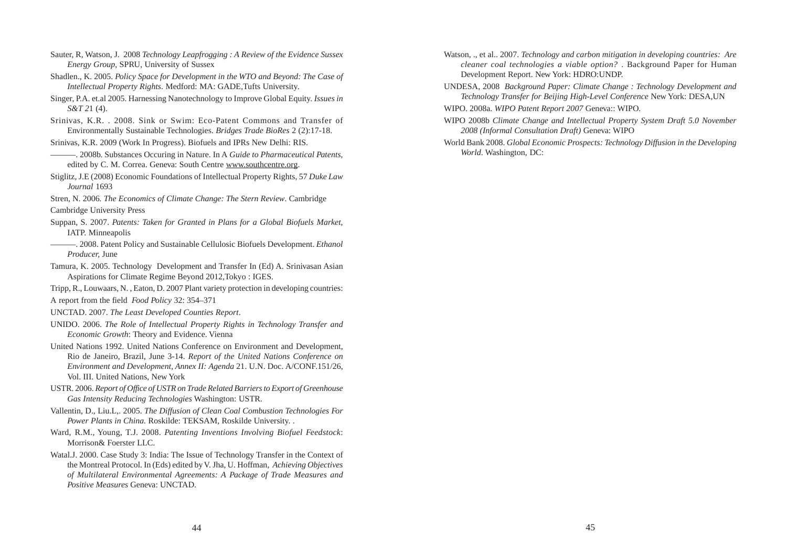- Sauter, R, Watson, J. 2008 *Technology Leapfrogging : A Review of the Evidence Sussex Energy Group,* SPRU, University of Sussex
- Shadlen., K. 2005. *Policy Space for Development in the WTO and Beyond: The Case of Intellectual Property Rights*. Medford: MA: GADE,Tufts University.
- Singer, P.A. et.al 2005. Harnessing Nanotechnology to Improve Global Equity. *Issues in S&T 2*1 (4).
- Srinivas, K.R. . 2008. Sink or Swim: Eco-Patent Commons and Transfer of Environmentally Sustainable Technologies. *Bridges Trade BioRes* 2 (2):17-18.
- Srinivas, K.R. 2009 (Work In Progress). Biofuels and IPRs New Delhi: RIS.
- ———. 2008b. Substances Occuring in Nature. In A *Guide to Pharmaceutical Patents*, edited by C. M. Correa. Geneva: South Centre www.southcentre.org.
- Stiglitz, J.E (2008) Economic Foundations of Intellectual Property Rights, 57 *Duke Law Journal* 1693
- Stren, N. 2006*. The Economics of Climate Change: The Stern Review*. Cambridge
- Cambridge University Press
- Suppan, S. 2007. *Patents: Taken for Granted in Plans for a Global Biofuels Market*, IATP. Minneapolis
- ———. 2008. Patent Policy and Sustainable Cellulosic Biofuels Development. *Ethanol Producer,* June
- Tamura, K. 2005. Technology Development and Transfer In (Ed) A. Srinivasan Asian Aspirations for Climate Regime Beyond 2012,Tokyo : IGES.
- Tripp, R., Louwaars, N. , Eaton, D. 2007 Plant variety protection in developing countries:
- A report from the field *Food Policy* 32: 354–371
- UNCTAD. 2007. *The Least Developed Counties Report*.
- UNIDO. 2006. *The Role of Intellectual Property Rights in Technology Transfer and Economic Growth*: Theory and Evidence. Vienna
- United Nations 1992. United Nations Conference on Environment and Development, Rio de Janeiro, Brazil, June 3-14. *Report of the United Nations Conference on Environment and Development, Annex II: Agenda* 21. U.N. Doc. A/CONF.151/26, Vol. III. United Nations, New York
- USTR. 2006. *Report of Office of USTR on Trade Related Barriers to Export of Greenhouse Gas Intensity Reducing Technologies* Washington: USTR.
- Vallentin, D., Liu.L,. 2005. *The Diffusion of Clean Coal Combustion Technologies For Power Plants in China.* Roskilde: TEKSAM, Roskilde University. .
- Ward, R.M., Young, T.J. 2008. *Patenting Inventions Involving Biofuel Feedstock*: Morrison& Foerster LLC.
- Watal.J. 2000. Case Study 3: India: The Issue of Technology Transfer in the Context of the Montreal Protocol. In (Eds) edited by V. Jha, U. Hoffman, *Achieving Objectives of Multilateral Environmental Agreements: A Package of Trade Measures and Positive Measures* Geneva: UNCTAD.
- Watson, ., et al.. 2007. *Technology and carbon mitigation in developing countries: Are cleaner coal technologies a viable option?* . Background Paper for Human Development Report. New York: HDRO:UNDP.
- UNDESA, 2008 *Background Paper: Climate Change : Technology Development and Technology Transfer for Beijing High-Level Conference* New York: DESA,UN
- WIPO. 2008a. *WIPO Patent Report 2007* Geneva:: WIPO.
- WIPO 2008b *Climate Change and Intellectual Property System Draft 5.0 November 2008 (Informal Consultation Draft)* Geneva: WIPO
- World Bank 2008. *Global Economic Prospects: Technology Diffusion in the Developing World*. Washington, DC: